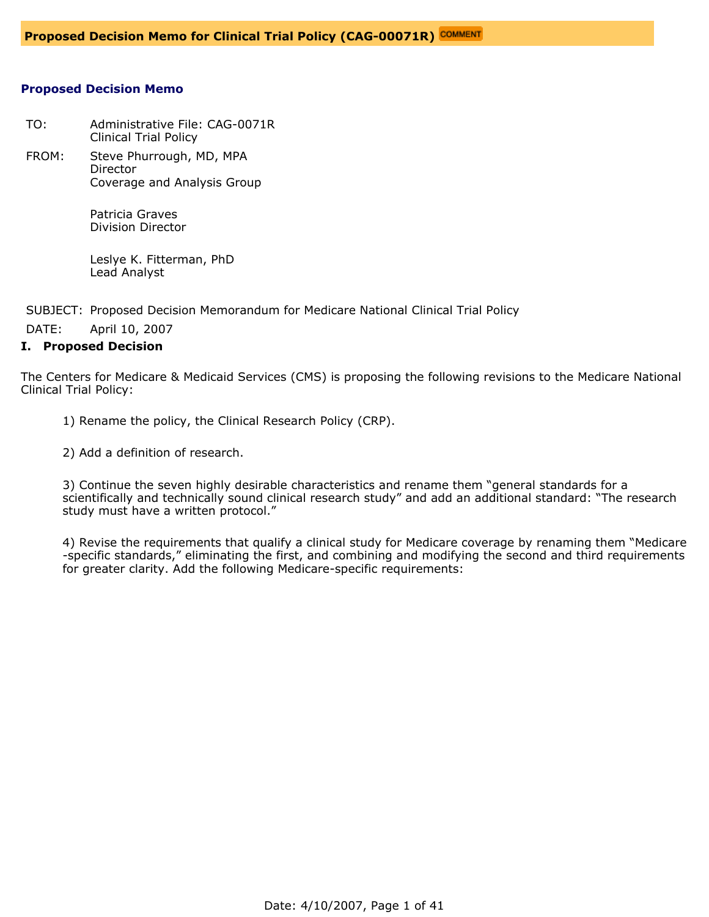### **Proposed Decision Memo**

- TO: Administrative File: CAG-0071R Clinical Trial Policy
- FROM: Steve Phurrough, MD, MPA Director Coverage and Analysis Group

Patricia Graves Division Director

Leslye K. Fitterman, PhD Lead Analyst

SUBJECT: Proposed Decision Memorandum for Medicare National Clinical Trial Policy

DATE: April 10, 2007

### **I. Proposed Decision**

The Centers for Medicare & Medicaid Services (CMS) is proposing the following revisions to the Medicare National Clinical Trial Policy:

- 1) Rename the policy, the Clinical Research Policy (CRP).
- 2) Add a definition of research.

3) Continue the seven highly desirable characteristics and rename them "general standards for a scientifically and technically sound clinical research study" and add an additional standard: "The research study must have a written protocol."

4) Revise the requirements that qualify a clinical study for Medicare coverage by renaming them "Medicare -specific standards," eliminating the first, and combining and modifying the second and third requirements for greater clarity. Add the following Medicare-specific requirements: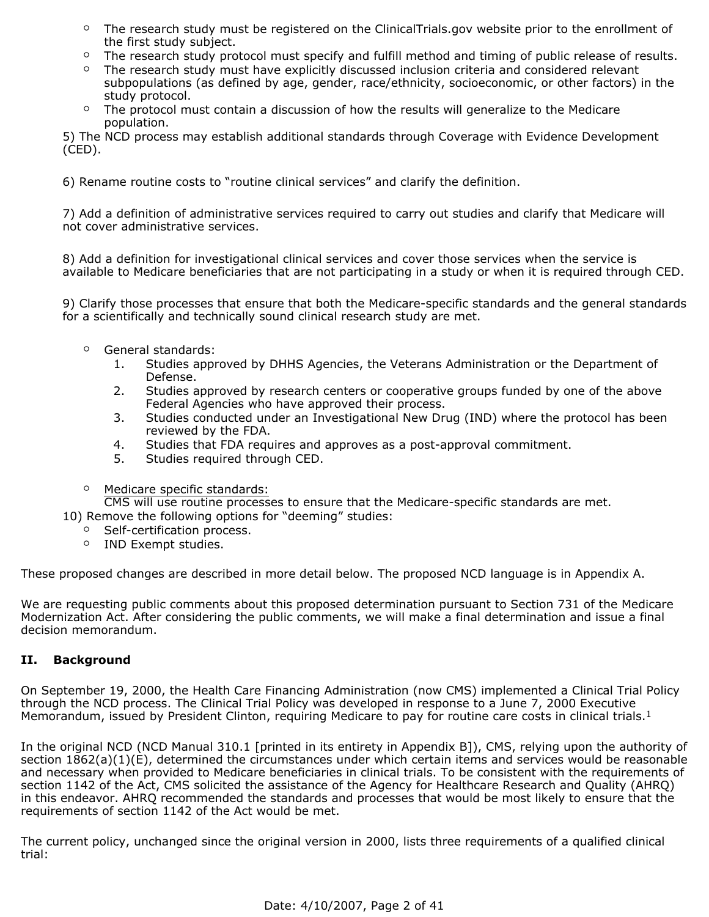- The research study must be registered on the ClinicalTrials.gov website prior to the enrollment of the first study subject.
- The research study protocol must specify and fulfill method and timing of public release of results.
- The research study must have explicitly discussed inclusion criteria and considered relevant subpopulations (as defined by age, gender, race/ethnicity, socioeconomic, or other factors) in the study protocol.
- The protocol must contain a discussion of how the results will generalize to the Medicare population.

5) The NCD process may establish additional standards through Coverage with Evidence Development (CED).

6) Rename routine costs to "routine clinical services" and clarify the definition.

7) Add a definition of administrative services required to carry out studies and clarify that Medicare will not cover administrative services.

8) Add a definition for investigational clinical services and cover those services when the service is available to Medicare beneficiaries that are not participating in a study or when it is required through CED.

9) Clarify those processes that ensure that both the Medicare-specific standards and the general standards for a scientifically and technically sound clinical research study are met.

- General standards:
	- 1. Studies approved by DHHS Agencies, the Veterans Administration or the Department of Defense.
	- 2. Studies approved by research centers or cooperative groups funded by one of the above Federal Agencies who have approved their process.
	- 3. Studies conducted under an Investigational New Drug (IND) where the protocol has been reviewed by the FDA.
	- 4. Studies that FDA requires and approves as a post-approval commitment.
	- 5. Studies required through CED.
- Medicare specific standards:

CMS will use routine processes to ensure that the Medicare-specific standards are met.

10) Remove the following options for "deeming" studies:

- Self-certification process.
	- IND Exempt studies.

These proposed changes are described in more detail below. The proposed NCD language is in Appendix A.

We are requesting public comments about this proposed determination pursuant to Section 731 of the Medicare Modernization Act. After considering the public comments, we will make a final determination and issue a final decision memorandum.

### **II. Background**

On September 19, 2000, the Health Care Financing Administration (now CMS) implemented a Clinical Trial Policy through the NCD process. The Clinical Trial Policy was developed in response to a June 7, 2000 Executive Memorandum, issued by President Clinton, requiring Medicare to pay for routine care costs in clinical trials.1

In the original NCD (NCD Manual 310.1 [printed in its entirety in Appendix B]), CMS, relying upon the authority of section 1862(a)(1)(E), determined the circumstances under which certain items and services would be reasonable and necessary when provided to Medicare beneficiaries in clinical trials. To be consistent with the requirements of section 1142 of the Act, CMS solicited the assistance of the Agency for Healthcare Research and Quality (AHRQ) in this endeavor. AHRQ recommended the standards and processes that would be most likely to ensure that the requirements of section 1142 of the Act would be met.

The current policy, unchanged since the original version in 2000, lists three requirements of a qualified clinical trial: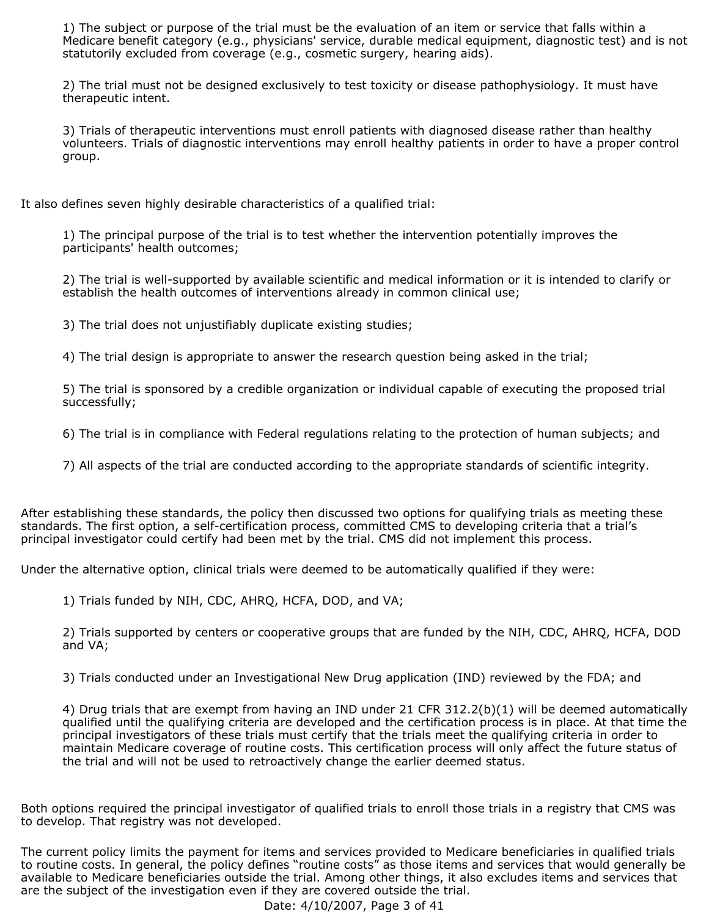1) The subject or purpose of the trial must be the evaluation of an item or service that falls within a Medicare benefit category (e.g., physicians' service, durable medical equipment, diagnostic test) and is not statutorily excluded from coverage (e.g., cosmetic surgery, hearing aids).

2) The trial must not be designed exclusively to test toxicity or disease pathophysiology. It must have therapeutic intent.

3) Trials of therapeutic interventions must enroll patients with diagnosed disease rather than healthy volunteers. Trials of diagnostic interventions may enroll healthy patients in order to have a proper control group.

It also defines seven highly desirable characteristics of a qualified trial:

1) The principal purpose of the trial is to test whether the intervention potentially improves the participants' health outcomes;

2) The trial is well-supported by available scientific and medical information or it is intended to clarify or establish the health outcomes of interventions already in common clinical use;

3) The trial does not unjustifiably duplicate existing studies;

4) The trial design is appropriate to answer the research question being asked in the trial;

5) The trial is sponsored by a credible organization or individual capable of executing the proposed trial successfully;

6) The trial is in compliance with Federal regulations relating to the protection of human subjects; and

7) All aspects of the trial are conducted according to the appropriate standards of scientific integrity.

After establishing these standards, the policy then discussed two options for qualifying trials as meeting these standards. The first option, a self-certification process, committed CMS to developing criteria that a trial's principal investigator could certify had been met by the trial. CMS did not implement this process.

Under the alternative option, clinical trials were deemed to be automatically qualified if they were:

1) Trials funded by NIH, CDC, AHRQ, HCFA, DOD, and VA;

2) Trials supported by centers or cooperative groups that are funded by the NIH, CDC, AHRQ, HCFA, DOD and VA;

3) Trials conducted under an Investigational New Drug application (IND) reviewed by the FDA; and

4) Drug trials that are exempt from having an IND under 21 CFR 312.2(b)(1) will be deemed automatically qualified until the qualifying criteria are developed and the certification process is in place. At that time the principal investigators of these trials must certify that the trials meet the qualifying criteria in order to maintain Medicare coverage of routine costs. This certification process will only affect the future status of the trial and will not be used to retroactively change the earlier deemed status.

Both options required the principal investigator of qualified trials to enroll those trials in a registry that CMS was to develop. That registry was not developed.

The current policy limits the payment for items and services provided to Medicare beneficiaries in qualified trials to routine costs. In general, the policy defines "routine costs" as those items and services that would generally be available to Medicare beneficiaries outside the trial. Among other things, it also excludes items and services that are the subject of the investigation even if they are covered outside the trial.

Date: 4/10/2007, Page 3 of 41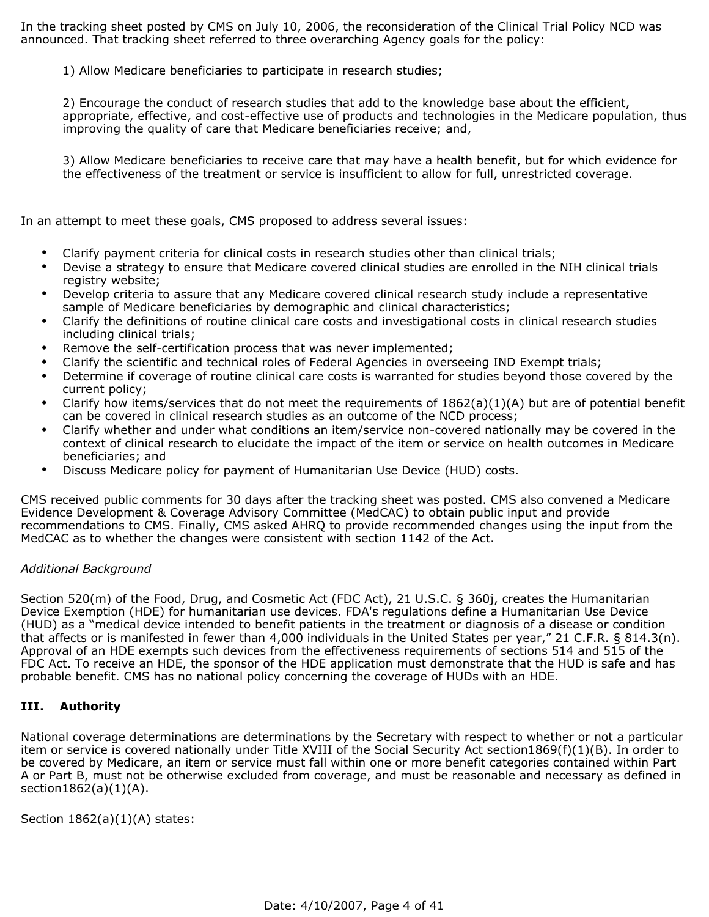In the tracking sheet posted by CMS on July 10, 2006, the reconsideration of the Clinical Trial Policy NCD was announced. That tracking sheet referred to three overarching Agency goals for the policy:

1) Allow Medicare beneficiaries to participate in research studies;

2) Encourage the conduct of research studies that add to the knowledge base about the efficient, appropriate, effective, and cost-effective use of products and technologies in the Medicare population, thus improving the quality of care that Medicare beneficiaries receive; and,

3) Allow Medicare beneficiaries to receive care that may have a health benefit, but for which evidence for the effectiveness of the treatment or service is insufficient to allow for full, unrestricted coverage.

In an attempt to meet these goals, CMS proposed to address several issues:

- Clarify payment criteria for clinical costs in research studies other than clinical trials;
- Devise a strategy to ensure that Medicare covered clinical studies are enrolled in the NIH clinical trials registry website;
- Develop criteria to assure that any Medicare covered clinical research study include a representative sample of Medicare beneficiaries by demographic and clinical characteristics;
- Clarify the definitions of routine clinical care costs and investigational costs in clinical research studies including clinical trials;
- Remove the self-certification process that was never implemented;
- Clarify the scientific and technical roles of Federal Agencies in overseeing IND Exempt trials;
- Determine if coverage of routine clinical care costs is warranted for studies beyond those covered by the current policy;
- Clarify how items/services that do not meet the requirements of  $1862(a)(1)(A)$  but are of potential benefit can be covered in clinical research studies as an outcome of the NCD process;
- Clarify whether and under what conditions an item/service non-covered nationally may be covered in the context of clinical research to elucidate the impact of the item or service on health outcomes in Medicare beneficiaries; and
- Discuss Medicare policy for payment of Humanitarian Use Device (HUD) costs.

CMS received public comments for 30 days after the tracking sheet was posted. CMS also convened a Medicare Evidence Development & Coverage Advisory Committee (MedCAC) to obtain public input and provide recommendations to CMS. Finally, CMS asked AHRQ to provide recommended changes using the input from the MedCAC as to whether the changes were consistent with section 1142 of the Act.

#### *Additional Background*

Section 520(m) of the Food, Drug, and Cosmetic Act (FDC Act), 21 U.S.C. § 360j, creates the Humanitarian Device Exemption (HDE) for humanitarian use devices. FDA's regulations define a Humanitarian Use Device (HUD) as a "medical device intended to benefit patients in the treatment or diagnosis of a disease or condition that affects or is manifested in fewer than 4,000 individuals in the United States per year," 21 C.F.R. § 814.3(n). Approval of an HDE exempts such devices from the effectiveness requirements of sections 514 and 515 of the FDC Act. To receive an HDE, the sponsor of the HDE application must demonstrate that the HUD is safe and has probable benefit. CMS has no national policy concerning the coverage of HUDs with an HDE.

#### **III. Authority**

National coverage determinations are determinations by the Secretary with respect to whether or not a particular item or service is covered nationally under Title XVIII of the Social Security Act section1869(f)(1)(B). In order to be covered by Medicare, an item or service must fall within one or more benefit categories contained within Part A or Part B, must not be otherwise excluded from coverage, and must be reasonable and necessary as defined in section1862(a)(1)(A).

Section  $1862(a)(1)(A)$  states: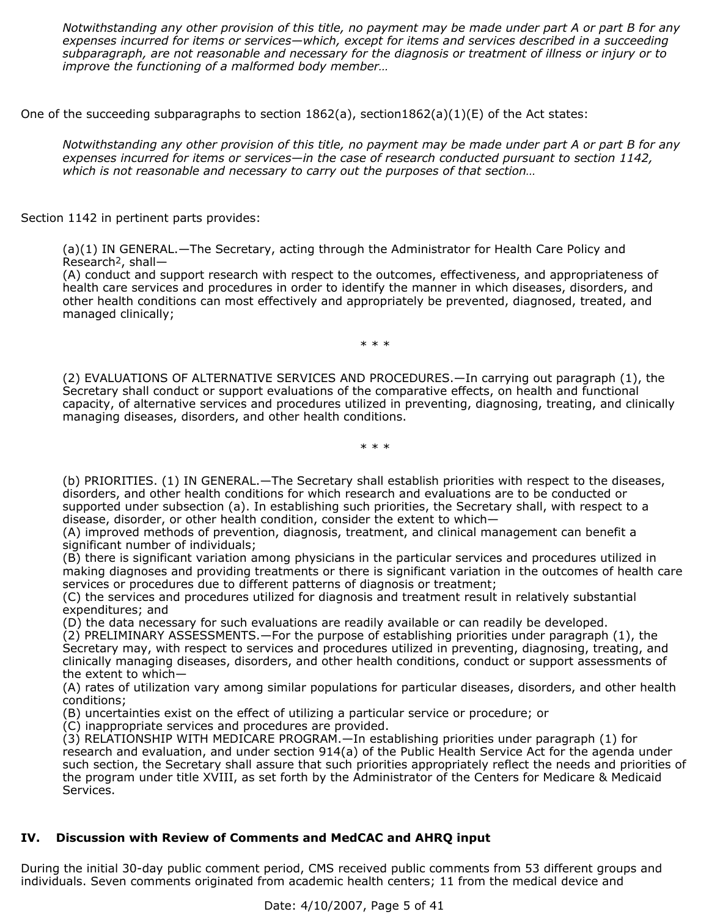*Notwithstanding any other provision of this title, no payment may be made under part A or part B for any expenses incurred for items or services—which, except for items and services described in a succeeding subparagraph, are not reasonable and necessary for the diagnosis or treatment of illness or injury or to improve the functioning of a malformed body member…*

One of the succeeding subparagraphs to section 1862(a), section1862(a)(1)(E) of the Act states:

*Notwithstanding any other provision of this title, no payment may be made under part A or part B for any expenses incurred for items or services—in the case of research conducted pursuant to section 1142, which is not reasonable and necessary to carry out the purposes of that section…*

Section 1142 in pertinent parts provides:

(a)(1) IN GENERAL.—The Secretary, acting through the Administrator for Health Care Policy and Research<sup>2</sup>, shall—

(A) conduct and support research with respect to the outcomes, effectiveness, and appropriateness of health care services and procedures in order to identify the manner in which diseases, disorders, and other health conditions can most effectively and appropriately be prevented, diagnosed, treated, and managed clinically;

\* \* \*

(2) EVALUATIONS OF ALTERNATIVE SERVICES AND PROCEDURES.—In carrying out paragraph (1), the Secretary shall conduct or support evaluations of the comparative effects, on health and functional capacity, of alternative services and procedures utilized in preventing, diagnosing, treating, and clinically managing diseases, disorders, and other health conditions.

\* \* \*

(b) PRIORITIES. (1) IN GENERAL.—The Secretary shall establish priorities with respect to the diseases, disorders, and other health conditions for which research and evaluations are to be conducted or supported under subsection (a). In establishing such priorities, the Secretary shall, with respect to a disease, disorder, or other health condition, consider the extent to which—

(A) improved methods of prevention, diagnosis, treatment, and clinical management can benefit a significant number of individuals;

(B) there is significant variation among physicians in the particular services and procedures utilized in making diagnoses and providing treatments or there is significant variation in the outcomes of health care services or procedures due to different patterns of diagnosis or treatment;

(C) the services and procedures utilized for diagnosis and treatment result in relatively substantial expenditures; and

(D) the data necessary for such evaluations are readily available or can readily be developed.

(2) PRELIMINARY ASSESSMENTS.—For the purpose of establishing priorities under paragraph (1), the Secretary may, with respect to services and procedures utilized in preventing, diagnosing, treating, and clinically managing diseases, disorders, and other health conditions, conduct or support assessments of the extent to which—

(A) rates of utilization vary among similar populations for particular diseases, disorders, and other health conditions;

(B) uncertainties exist on the effect of utilizing a particular service or procedure; or

(C) inappropriate services and procedures are provided.

(3) RELATIONSHIP WITH MEDICARE PROGRAM.—In establishing priorities under paragraph (1) for research and evaluation, and under section 914(a) of the Public Health Service Act for the agenda under such section, the Secretary shall assure that such priorities appropriately reflect the needs and priorities of the program under title XVIII, as set forth by the Administrator of the Centers for Medicare & Medicaid Services.

### **IV. Discussion with Review of Comments and MedCAC and AHRQ input**

During the initial 30-day public comment period, CMS received public comments from 53 different groups and individuals. Seven comments originated from academic health centers; 11 from the medical device and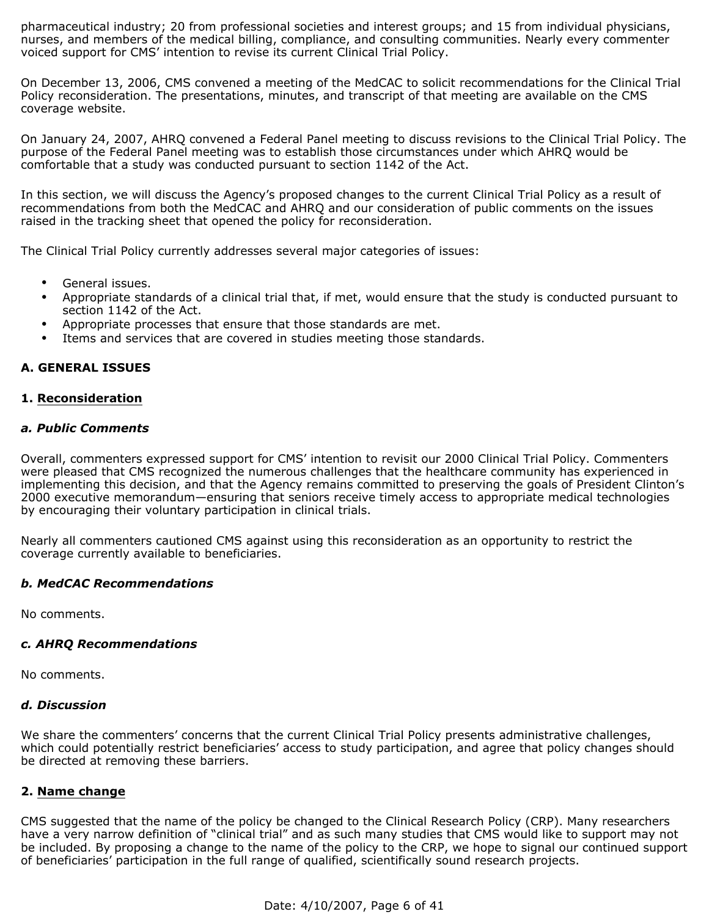pharmaceutical industry; 20 from professional societies and interest groups; and 15 from individual physicians, nurses, and members of the medical billing, compliance, and consulting communities. Nearly every commenter voiced support for CMS' intention to revise its current Clinical Trial Policy.

On December 13, 2006, CMS convened a meeting of the MedCAC to solicit recommendations for the Clinical Trial Policy reconsideration. The presentations, minutes, and transcript of that meeting are available on the CMS coverage website.

On January 24, 2007, AHRQ convened a Federal Panel meeting to discuss revisions to the Clinical Trial Policy. The purpose of the Federal Panel meeting was to establish those circumstances under which AHRQ would be comfortable that a study was conducted pursuant to section 1142 of the Act.

In this section, we will discuss the Agency's proposed changes to the current Clinical Trial Policy as a result of recommendations from both the MedCAC and AHRQ and our consideration of public comments on the issues raised in the tracking sheet that opened the policy for reconsideration.

The Clinical Trial Policy currently addresses several major categories of issues:

- General issues.
- Appropriate standards of a clinical trial that, if met, would ensure that the study is conducted pursuant to section 1142 of the Act.
- Appropriate processes that ensure that those standards are met.
- Items and services that are covered in studies meeting those standards.

### **A. GENERAL ISSUES**

### **1. Reconsideration**

#### *a. Public Comments*

Overall, commenters expressed support for CMS' intention to revisit our 2000 Clinical Trial Policy. Commenters were pleased that CMS recognized the numerous challenges that the healthcare community has experienced in implementing this decision, and that the Agency remains committed to preserving the goals of President Clinton's 2000 executive memorandum—ensuring that seniors receive timely access to appropriate medical technologies by encouraging their voluntary participation in clinical trials.

Nearly all commenters cautioned CMS against using this reconsideration as an opportunity to restrict the coverage currently available to beneficiaries.

#### *b. MedCAC Recommendations*

No comments.

#### *c. AHRQ Recommendations*

No comments.

#### *d. Discussion*

We share the commenters' concerns that the current Clinical Trial Policy presents administrative challenges, which could potentially restrict beneficiaries' access to study participation, and agree that policy changes should be directed at removing these barriers.

#### **2. Name change**

CMS suggested that the name of the policy be changed to the Clinical Research Policy (CRP). Many researchers have a very narrow definition of "clinical trial" and as such many studies that CMS would like to support may not be included. By proposing a change to the name of the policy to the CRP, we hope to signal our continued support of beneficiaries' participation in the full range of qualified, scientifically sound research projects.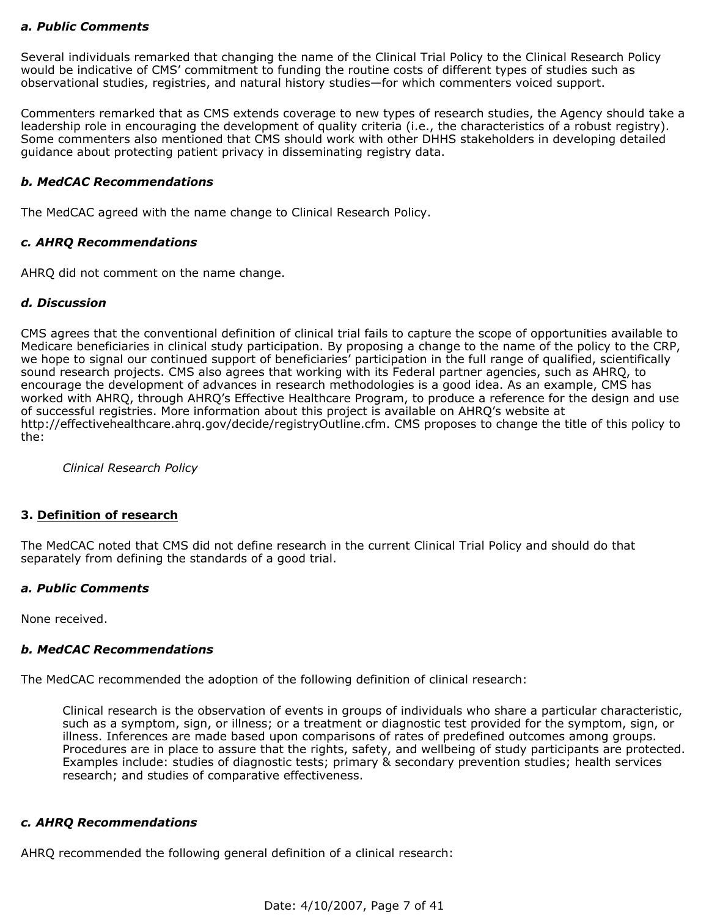### *a. Public Comments*

Several individuals remarked that changing the name of the Clinical Trial Policy to the Clinical Research Policy would be indicative of CMS' commitment to funding the routine costs of different types of studies such as observational studies, registries, and natural history studies—for which commenters voiced support.

Commenters remarked that as CMS extends coverage to new types of research studies, the Agency should take a leadership role in encouraging the development of quality criteria (i.e., the characteristics of a robust registry). Some commenters also mentioned that CMS should work with other DHHS stakeholders in developing detailed guidance about protecting patient privacy in disseminating registry data.

### *b. MedCAC Recommendations*

The MedCAC agreed with the name change to Clinical Research Policy.

### *c. AHRQ Recommendations*

AHRQ did not comment on the name change.

### *d. Discussion*

CMS agrees that the conventional definition of clinical trial fails to capture the scope of opportunities available to Medicare beneficiaries in clinical study participation. By proposing a change to the name of the policy to the CRP, we hope to signal our continued support of beneficiaries' participation in the full range of qualified, scientifically sound research projects. CMS also agrees that working with its Federal partner agencies, such as AHRQ, to encourage the development of advances in research methodologies is a good idea. As an example, CMS has worked with AHRQ, through AHRQ's Effective Healthcare Program, to produce a reference for the design and use of successful registries. More information about this project is available on AHRQ's website at http://effectivehealthcare.ahrq.gov/decide/registryOutline.cfm. CMS proposes to change the title of this policy to the:

*Clinical Research Policy*

### **3. Definition of research**

The MedCAC noted that CMS did not define research in the current Clinical Trial Policy and should do that separately from defining the standards of a good trial.

### *a. Public Comments*

None received.

### *b. MedCAC Recommendations*

The MedCAC recommended the adoption of the following definition of clinical research:

Clinical research is the observation of events in groups of individuals who share a particular characteristic, such as a symptom, sign, or illness; or a treatment or diagnostic test provided for the symptom, sign, or illness. Inferences are made based upon comparisons of rates of predefined outcomes among groups. Procedures are in place to assure that the rights, safety, and wellbeing of study participants are protected. Examples include: studies of diagnostic tests; primary & secondary prevention studies; health services research; and studies of comparative effectiveness.

#### *c. AHRQ Recommendations*

AHRQ recommended the following general definition of a clinical research: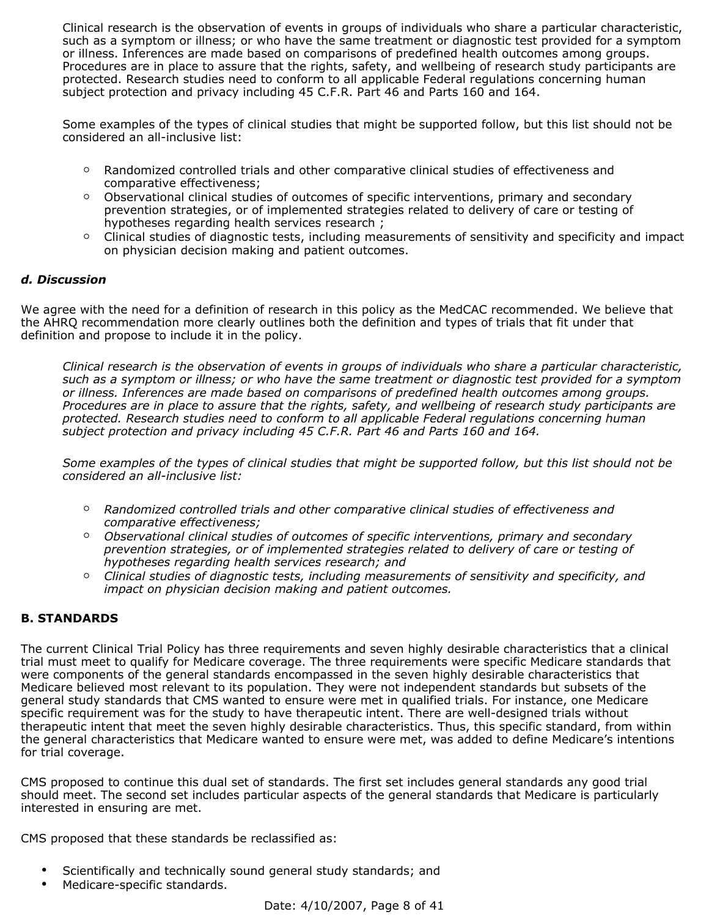Clinical research is the observation of events in groups of individuals who share a particular characteristic, such as a symptom or illness; or who have the same treatment or diagnostic test provided for a symptom or illness. Inferences are made based on comparisons of predefined health outcomes among groups. Procedures are in place to assure that the rights, safety, and wellbeing of research study participants are protected. Research studies need to conform to all applicable Federal regulations concerning human subject protection and privacy including 45 C.F.R. Part 46 and Parts 160 and 164.

Some examples of the types of clinical studies that might be supported follow, but this list should not be considered an all-inclusive list:

- Randomized controlled trials and other comparative clinical studies of effectiveness and comparative effectiveness;
- Observational clinical studies of outcomes of specific interventions, primary and secondary prevention strategies, or of implemented strategies related to delivery of care or testing of hypotheses regarding health services research ;
- Clinical studies of diagnostic tests, including measurements of sensitivity and specificity and impact on physician decision making and patient outcomes.

### *d. Discussion*

We agree with the need for a definition of research in this policy as the MedCAC recommended. We believe that the AHRQ recommendation more clearly outlines both the definition and types of trials that fit under that definition and propose to include it in the policy.

*Clinical research is the observation of events in groups of individuals who share a particular characteristic, such as a symptom or illness; or who have the same treatment or diagnostic test provided for a symptom or illness. Inferences are made based on comparisons of predefined health outcomes among groups. Procedures are in place to assure that the rights, safety, and wellbeing of research study participants are protected. Research studies need to conform to all applicable Federal regulations concerning human subject protection and privacy including 45 C.F.R. Part 46 and Parts 160 and 164.*

*Some examples of the types of clinical studies that might be supported follow, but this list should not be considered an all-inclusive list:*

- *Randomized controlled trials and other comparative clinical studies of effectiveness and comparative effectiveness;*
- *Observational clinical studies of outcomes of specific interventions, primary and secondary prevention strategies, or of implemented strategies related to delivery of care or testing of hypotheses regarding health services research; and*
- *Clinical studies of diagnostic tests, including measurements of sensitivity and specificity, and impact on physician decision making and patient outcomes.*

# **B. STANDARDS**

The current Clinical Trial Policy has three requirements and seven highly desirable characteristics that a clinical trial must meet to qualify for Medicare coverage. The three requirements were specific Medicare standards that were components of the general standards encompassed in the seven highly desirable characteristics that Medicare believed most relevant to its population. They were not independent standards but subsets of the general study standards that CMS wanted to ensure were met in qualified trials. For instance, one Medicare specific requirement was for the study to have therapeutic intent. There are well-designed trials without therapeutic intent that meet the seven highly desirable characteristics. Thus, this specific standard, from within the general characteristics that Medicare wanted to ensure were met, was added to define Medicare's intentions for trial coverage.

CMS proposed to continue this dual set of standards. The first set includes general standards any good trial should meet. The second set includes particular aspects of the general standards that Medicare is particularly interested in ensuring are met.

CMS proposed that these standards be reclassified as:

- Scientifically and technically sound general study standards; and
- Medicare-specific standards.

Date: 4/10/2007, Page 8 of 41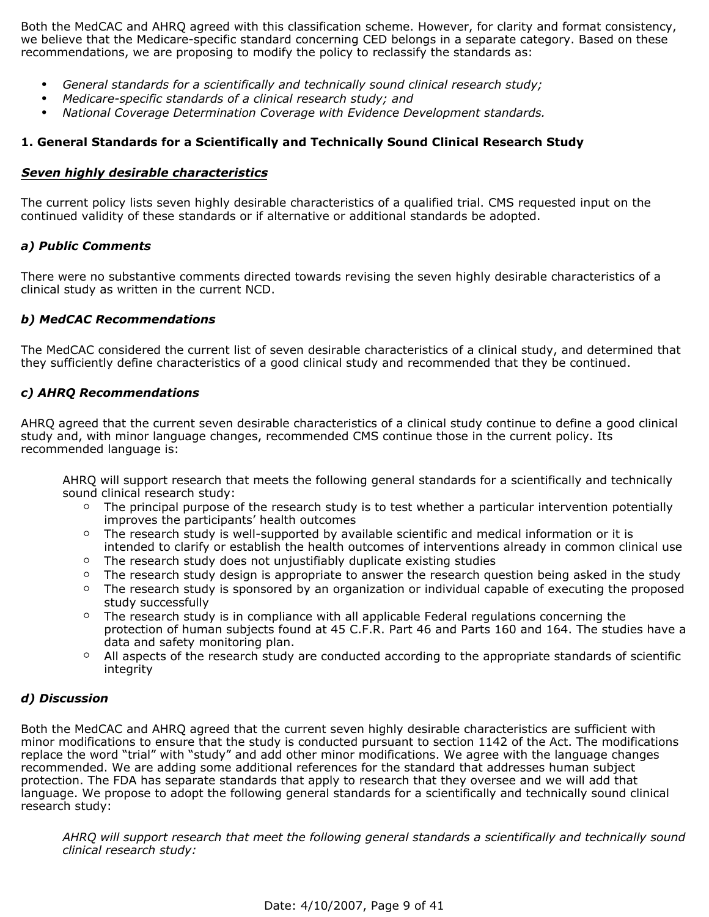Both the MedCAC and AHRQ agreed with this classification scheme. However, for clarity and format consistency, we believe that the Medicare-specific standard concerning CED belongs in a separate category. Based on these recommendations, we are proposing to modify the policy to reclassify the standards as:

- *General standards for a scientifically and technically sound clinical research study;*
- *Medicare-specific standards of a clinical research study; and*
- *National Coverage Determination Coverage with Evidence Development standards.*

### **1. General Standards for a Scientifically and Technically Sound Clinical Research Study**

### **Seven highly desirable characteristics**

The current policy lists seven highly desirable characteristics of a qualified trial. CMS requested input on the continued validity of these standards or if alternative or additional standards be adopted.

### *a) Public Comments*

There were no substantive comments directed towards revising the seven highly desirable characteristics of a clinical study as written in the current NCD.

### *b) MedCAC Recommendations*

The MedCAC considered the current list of seven desirable characteristics of a clinical study, and determined that they sufficiently define characteristics of a good clinical study and recommended that they be continued.

### *c) AHRQ Recommendations*

AHRQ agreed that the current seven desirable characteristics of a clinical study continue to define a good clinical study and, with minor language changes, recommended CMS continue those in the current policy. Its recommended language is:

AHRQ will support research that meets the following general standards for a scientifically and technically sound clinical research study:

- The principal purpose of the research study is to test whether a particular intervention potentially improves the participants' health outcomes
- The research study is well-supported by available scientific and medical information or it is intended to clarify or establish the health outcomes of interventions already in common clinical use
- The research study does not unjustifiably duplicate existing studies
- The research study design is appropriate to answer the research question being asked in the study
- The research study is sponsored by an organization or individual capable of executing the proposed study successfully
- The research study is in compliance with all applicable Federal regulations concerning the protection of human subjects found at 45 C.F.R. Part 46 and Parts 160 and 164. The studies have a data and safety monitoring plan.
- All aspects of the research study are conducted according to the appropriate standards of scientific integrity

### *d) Discussion*

Both the MedCAC and AHRQ agreed that the current seven highly desirable characteristics are sufficient with minor modifications to ensure that the study is conducted pursuant to section 1142 of the Act. The modifications replace the word "trial" with "study" and add other minor modifications. We agree with the language changes recommended. We are adding some additional references for the standard that addresses human subject protection. The FDA has separate standards that apply to research that they oversee and we will add that language. We propose to adopt the following general standards for a scientifically and technically sound clinical research study:

*AHRQ will support research that meet the following general standards a scientifically and technically sound clinical research study:*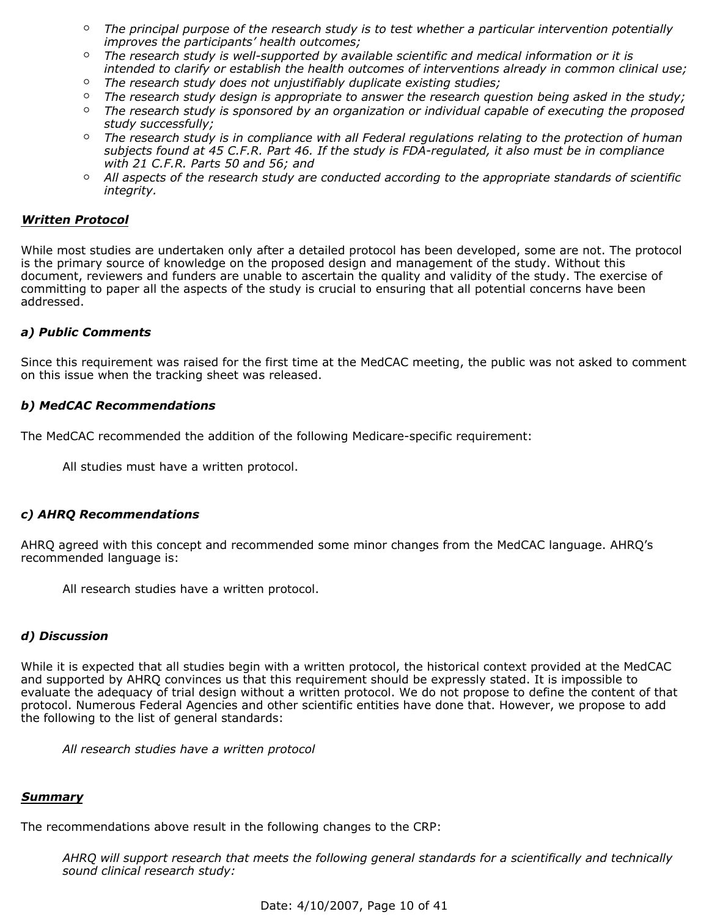- *The principal purpose of the research study is to test whether a particular intervention potentially improves the participants' health outcomes;*
- *The research study is well-supported by available scientific and medical information or it is*
- *intended to clarify or establish the health outcomes of interventions already in common clinical use;* ◦ *The research study does not unjustifiably duplicate existing studies;*
- *The research study design is appropriate to answer the research question being asked in the study;*
- *The research study is sponsored by an organization or individual capable of executing the proposed study successfully;*
- *The research study is in compliance with all Federal regulations relating to the protection of human subjects found at 45 C.F.R. Part 46. If the study is FDA-regulated, it also must be in compliance with 21 C.F.R. Parts 50 and 56; and*
- *All aspects of the research study are conducted according to the appropriate standards of scientific integrity.*

### **Written Protocol**

While most studies are undertaken only after a detailed protocol has been developed, some are not. The protocol is the primary source of knowledge on the proposed design and management of the study. Without this document, reviewers and funders are unable to ascertain the quality and validity of the study. The exercise of committing to paper all the aspects of the study is crucial to ensuring that all potential concerns have been addressed.

### *a) Public Comments*

Since this requirement was raised for the first time at the MedCAC meeting, the public was not asked to comment on this issue when the tracking sheet was released.

### *b) MedCAC Recommendations*

The MedCAC recommended the addition of the following Medicare-specific requirement:

All studies must have a written protocol.

### *c) AHRQ Recommendations*

AHRQ agreed with this concept and recommended some minor changes from the MedCAC language. AHRQ's recommended language is:

All research studies have a written protocol.

### *d) Discussion*

While it is expected that all studies begin with a written protocol, the historical context provided at the MedCAC and supported by AHRQ convinces us that this requirement should be expressly stated. It is impossible to evaluate the adequacy of trial design without a written protocol. We do not propose to define the content of that protocol. Numerous Federal Agencies and other scientific entities have done that. However, we propose to add the following to the list of general standards:

*All research studies have a written protocol*

# **Summary**

The recommendations above result in the following changes to the CRP:

*AHRQ will support research that meets the following general standards for a scientifically and technically sound clinical research study:*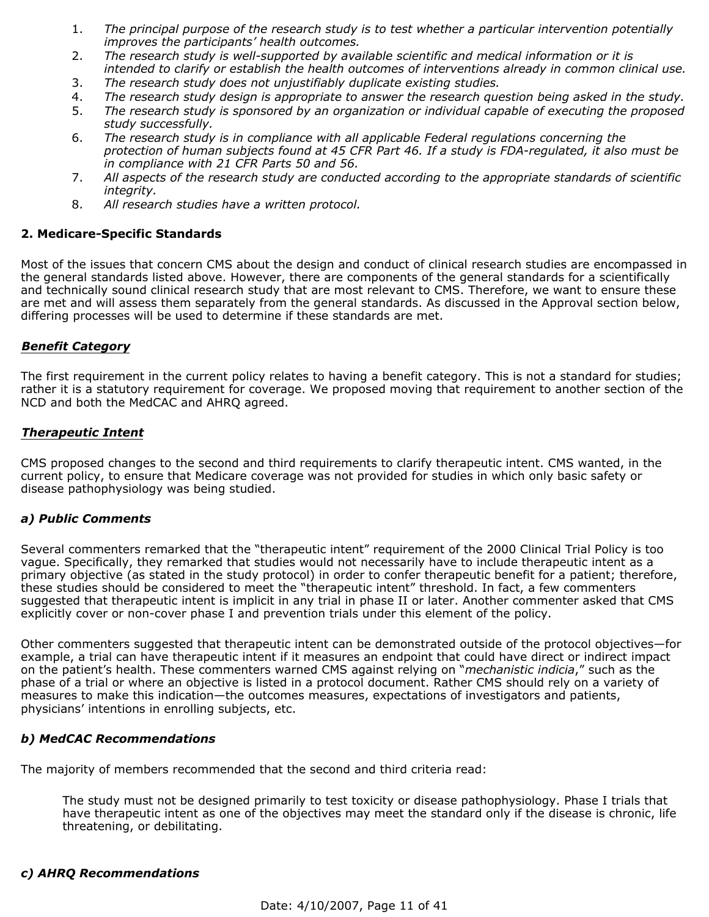- 1. *The principal purpose of the research study is to test whether a particular intervention potentially improves the participants' health outcomes.*
- 2. *The research study is well-supported by available scientific and medical information or it is*
- *intended to clarify or establish the health outcomes of interventions already in common clinical use.* 3. *The research study does not unjustifiably duplicate existing studies.*
- 4. *The research study design is appropriate to answer the research question being asked in the study.*
- 5. *The research study is sponsored by an organization or individual capable of executing the proposed study successfully.*
- 6. *The research study is in compliance with all applicable Federal regulations concerning the protection of human subjects found at 45 CFR Part 46. If a study is FDA-regulated, it also must be in compliance with 21 CFR Parts 50 and 56.*
- 7. *All aspects of the research study are conducted according to the appropriate standards of scientific integrity.*
- 8. *All research studies have a written protocol.*

### **2. Medicare-Specific Standards**

Most of the issues that concern CMS about the design and conduct of clinical research studies are encompassed in the general standards listed above. However, there are components of the general standards for a scientifically and technically sound clinical research study that are most relevant to CMS. Therefore, we want to ensure these are met and will assess them separately from the general standards. As discussed in the Approval section below, differing processes will be used to determine if these standards are met.

### **Benefit Category**

The first requirement in the current policy relates to having a benefit category. This is not a standard for studies; rather it is a statutory requirement for coverage. We proposed moving that requirement to another section of the NCD and both the MedCAC and AHRQ agreed.

### **Therapeutic Intent**

CMS proposed changes to the second and third requirements to clarify therapeutic intent. CMS wanted, in the current policy, to ensure that Medicare coverage was not provided for studies in which only basic safety or disease pathophysiology was being studied.

#### *a) Public Comments*

Several commenters remarked that the "therapeutic intent" requirement of the 2000 Clinical Trial Policy is too vague. Specifically, they remarked that studies would not necessarily have to include therapeutic intent as a primary objective (as stated in the study protocol) in order to confer therapeutic benefit for a patient; therefore, these studies should be considered to meet the "therapeutic intent" threshold. In fact, a few commenters suggested that therapeutic intent is implicit in any trial in phase II or later. Another commenter asked that CMS explicitly cover or non-cover phase I and prevention trials under this element of the policy.

Other commenters suggested that therapeutic intent can be demonstrated outside of the protocol objectives—for example, a trial can have therapeutic intent if it measures an endpoint that could have direct or indirect impact on the patient's health. These commenters warned CMS against relying on "*mechanistic indicia*," such as the phase of a trial or where an objective is listed in a protocol document. Rather CMS should rely on a variety of measures to make this indication—the outcomes measures, expectations of investigators and patients, physicians' intentions in enrolling subjects, etc.

### *b) MedCAC Recommendations*

The majority of members recommended that the second and third criteria read:

The study must not be designed primarily to test toxicity or disease pathophysiology. Phase I trials that have therapeutic intent as one of the objectives may meet the standard only if the disease is chronic, life threatening, or debilitating.

# *c) AHRQ Recommendations*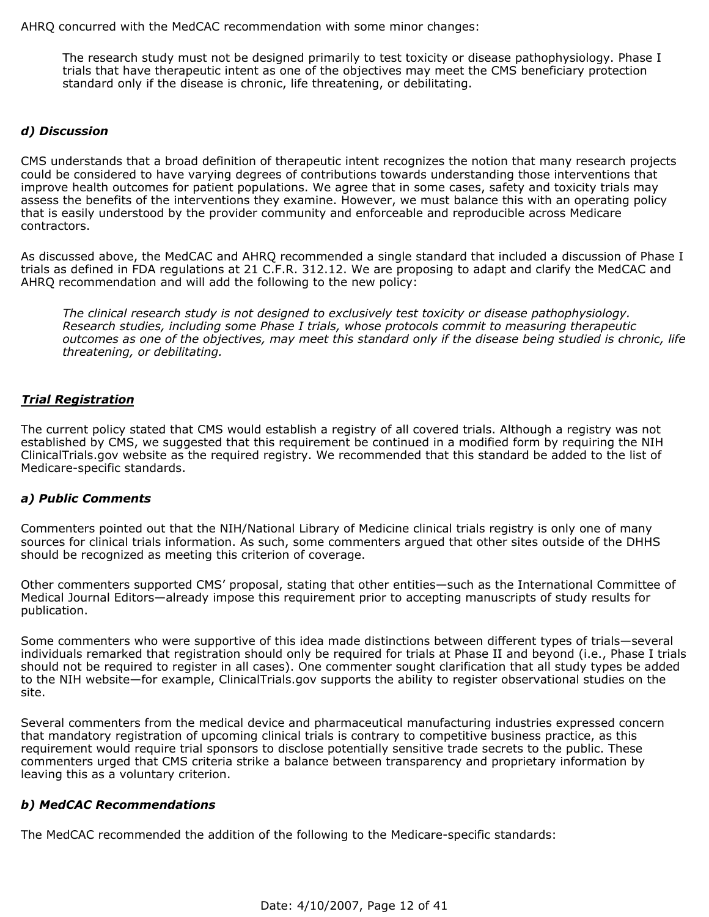AHRQ concurred with the MedCAC recommendation with some minor changes:

The research study must not be designed primarily to test toxicity or disease pathophysiology. Phase I trials that have therapeutic intent as one of the objectives may meet the CMS beneficiary protection standard only if the disease is chronic, life threatening, or debilitating.

## *d) Discussion*

CMS understands that a broad definition of therapeutic intent recognizes the notion that many research projects could be considered to have varying degrees of contributions towards understanding those interventions that improve health outcomes for patient populations. We agree that in some cases, safety and toxicity trials may assess the benefits of the interventions they examine. However, we must balance this with an operating policy that is easily understood by the provider community and enforceable and reproducible across Medicare contractors.

As discussed above, the MedCAC and AHRQ recommended a single standard that included a discussion of Phase I trials as defined in FDA regulations at 21 C.F.R. 312.12. We are proposing to adapt and clarify the MedCAC and AHRQ recommendation and will add the following to the new policy:

*The clinical research study is not designed to exclusively test toxicity or disease pathophysiology. Research studies, including some Phase I trials, whose protocols commit to measuring therapeutic outcomes as one of the objectives, may meet this standard only if the disease being studied is chronic, life threatening, or debilitating.*

## **Trial Registration**

The current policy stated that CMS would establish a registry of all covered trials. Although a registry was not established by CMS, we suggested that this requirement be continued in a modified form by requiring the NIH ClinicalTrials.gov website as the required registry. We recommended that this standard be added to the list of Medicare-specific standards.

### *a) Public Comments*

Commenters pointed out that the NIH/National Library of Medicine clinical trials registry is only one of many sources for clinical trials information. As such, some commenters argued that other sites outside of the DHHS should be recognized as meeting this criterion of coverage.

Other commenters supported CMS' proposal, stating that other entities—such as the International Committee of Medical Journal Editors—already impose this requirement prior to accepting manuscripts of study results for publication.

Some commenters who were supportive of this idea made distinctions between different types of trials—several individuals remarked that registration should only be required for trials at Phase II and beyond (i.e., Phase I trials should not be required to register in all cases). One commenter sought clarification that all study types be added to the NIH website—for example, ClinicalTrials.gov supports the ability to register observational studies on the site.

Several commenters from the medical device and pharmaceutical manufacturing industries expressed concern that mandatory registration of upcoming clinical trials is contrary to competitive business practice, as this requirement would require trial sponsors to disclose potentially sensitive trade secrets to the public. These commenters urged that CMS criteria strike a balance between transparency and proprietary information by leaving this as a voluntary criterion.

### *b) MedCAC Recommendations*

The MedCAC recommended the addition of the following to the Medicare-specific standards: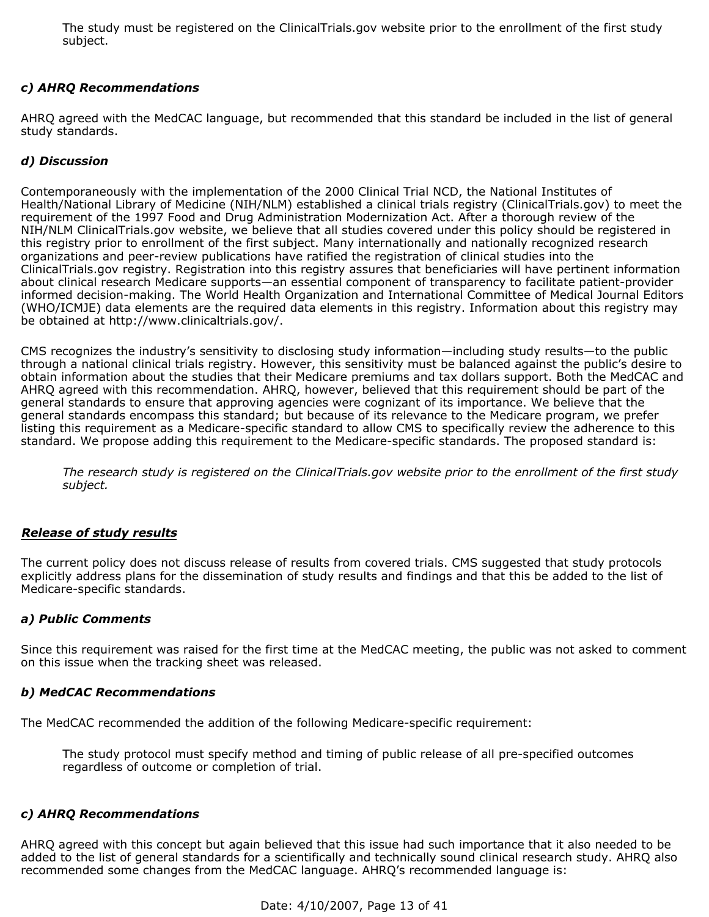The study must be registered on the ClinicalTrials.gov website prior to the enrollment of the first study subject.

## *c) AHRQ Recommendations*

AHRQ agreed with the MedCAC language, but recommended that this standard be included in the list of general study standards.

# *d) Discussion*

Contemporaneously with the implementation of the 2000 Clinical Trial NCD, the National Institutes of Health/National Library of Medicine (NIH/NLM) established a clinical trials registry (ClinicalTrials.gov) to meet the requirement of the 1997 Food and Drug Administration Modernization Act. After a thorough review of the NIH/NLM ClinicalTrials.gov website, we believe that all studies covered under this policy should be registered in this registry prior to enrollment of the first subject. Many internationally and nationally recognized research organizations and peer-review publications have ratified the registration of clinical studies into the ClinicalTrials.gov registry. Registration into this registry assures that beneficiaries will have pertinent information about clinical research Medicare supports—an essential component of transparency to facilitate patient-provider informed decision-making. The World Health Organization and International Committee of Medical Journal Editors (WHO/ICMJE) data elements are the required data elements in this registry. Information about this registry may be obtained at http://www.clinicaltrials.gov/.

CMS recognizes the industry's sensitivity to disclosing study information—including study results—to the public through a national clinical trials registry. However, this sensitivity must be balanced against the public's desire to obtain information about the studies that their Medicare premiums and tax dollars support. Both the MedCAC and AHRQ agreed with this recommendation. AHRQ, however, believed that this requirement should be part of the general standards to ensure that approving agencies were cognizant of its importance. We believe that the general standards encompass this standard; but because of its relevance to the Medicare program, we prefer listing this requirement as a Medicare-specific standard to allow CMS to specifically review the adherence to this standard. We propose adding this requirement to the Medicare-specific standards. The proposed standard is:

*The research study is registered on the ClinicalTrials.gov website prior to the enrollment of the first study subject.*

### **Release of study results**

The current policy does not discuss release of results from covered trials. CMS suggested that study protocols explicitly address plans for the dissemination of study results and findings and that this be added to the list of Medicare-specific standards.

### *a) Public Comments*

Since this requirement was raised for the first time at the MedCAC meeting, the public was not asked to comment on this issue when the tracking sheet was released.

### *b) MedCAC Recommendations*

The MedCAC recommended the addition of the following Medicare-specific requirement:

The study protocol must specify method and timing of public release of all pre-specified outcomes regardless of outcome or completion of trial.

# *c) AHRQ Recommendations*

AHRQ agreed with this concept but again believed that this issue had such importance that it also needed to be added to the list of general standards for a scientifically and technically sound clinical research study. AHRQ also recommended some changes from the MedCAC language. AHRQ's recommended language is: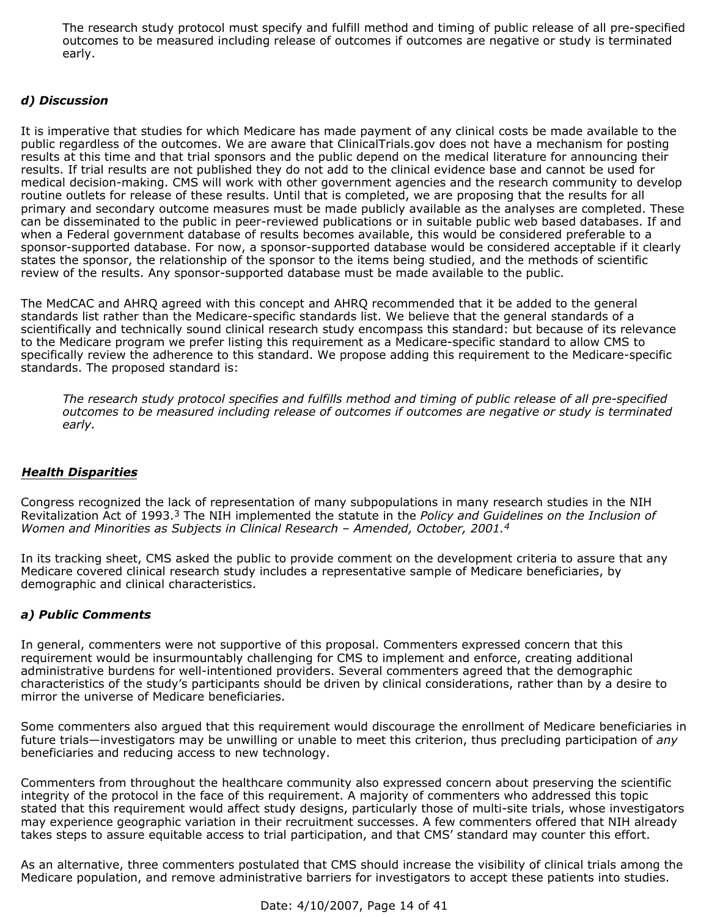The research study protocol must specify and fulfill method and timing of public release of all pre-specified outcomes to be measured including release of outcomes if outcomes are negative or study is terminated early.

## *d) Discussion*

It is imperative that studies for which Medicare has made payment of any clinical costs be made available to the public regardless of the outcomes. We are aware that ClinicalTrials.gov does not have a mechanism for posting results at this time and that trial sponsors and the public depend on the medical literature for announcing their results. If trial results are not published they do not add to the clinical evidence base and cannot be used for medical decision-making. CMS will work with other government agencies and the research community to develop routine outlets for release of these results. Until that is completed, we are proposing that the results for all primary and secondary outcome measures must be made publicly available as the analyses are completed. These can be disseminated to the public in peer-reviewed publications or in suitable public web based databases. If and when a Federal government database of results becomes available, this would be considered preferable to a sponsor-supported database. For now, a sponsor-supported database would be considered acceptable if it clearly states the sponsor, the relationship of the sponsor to the items being studied, and the methods of scientific review of the results. Any sponsor-supported database must be made available to the public.

The MedCAC and AHRQ agreed with this concept and AHRQ recommended that it be added to the general standards list rather than the Medicare-specific standards list. We believe that the general standards of a scientifically and technically sound clinical research study encompass this standard: but because of its relevance to the Medicare program we prefer listing this requirement as a Medicare-specific standard to allow CMS to specifically review the adherence to this standard. We propose adding this requirement to the Medicare-specific standards. The proposed standard is:

*The research study protocol specifies and fulfills method and timing of public release of all pre-specified outcomes to be measured including release of outcomes if outcomes are negative or study is terminated early.*

### **Health Disparities**

Congress recognized the lack of representation of many subpopulations in many research studies in the NIH Revitalization Act of 1993.3 The NIH implemented the statute in the *Policy and Guidelines on the Inclusion of Women and Minorities as Subjects in Clinical Research – Amended, October, 2001.4*

In its tracking sheet, CMS asked the public to provide comment on the development criteria to assure that any Medicare covered clinical research study includes a representative sample of Medicare beneficiaries, by demographic and clinical characteristics.

### *a) Public Comments*

In general, commenters were not supportive of this proposal. Commenters expressed concern that this requirement would be insurmountably challenging for CMS to implement and enforce, creating additional administrative burdens for well-intentioned providers. Several commenters agreed that the demographic characteristics of the study's participants should be driven by clinical considerations, rather than by a desire to mirror the universe of Medicare beneficiaries.

Some commenters also argued that this requirement would discourage the enrollment of Medicare beneficiaries in future trials—investigators may be unwilling or unable to meet this criterion, thus precluding participation of *any* beneficiaries and reducing access to new technology.

Commenters from throughout the healthcare community also expressed concern about preserving the scientific integrity of the protocol in the face of this requirement. A majority of commenters who addressed this topic stated that this requirement would affect study designs, particularly those of multi-site trials, whose investigators may experience geographic variation in their recruitment successes. A few commenters offered that NIH already takes steps to assure equitable access to trial participation, and that CMS' standard may counter this effort.

As an alternative, three commenters postulated that CMS should increase the visibility of clinical trials among the Medicare population, and remove administrative barriers for investigators to accept these patients into studies.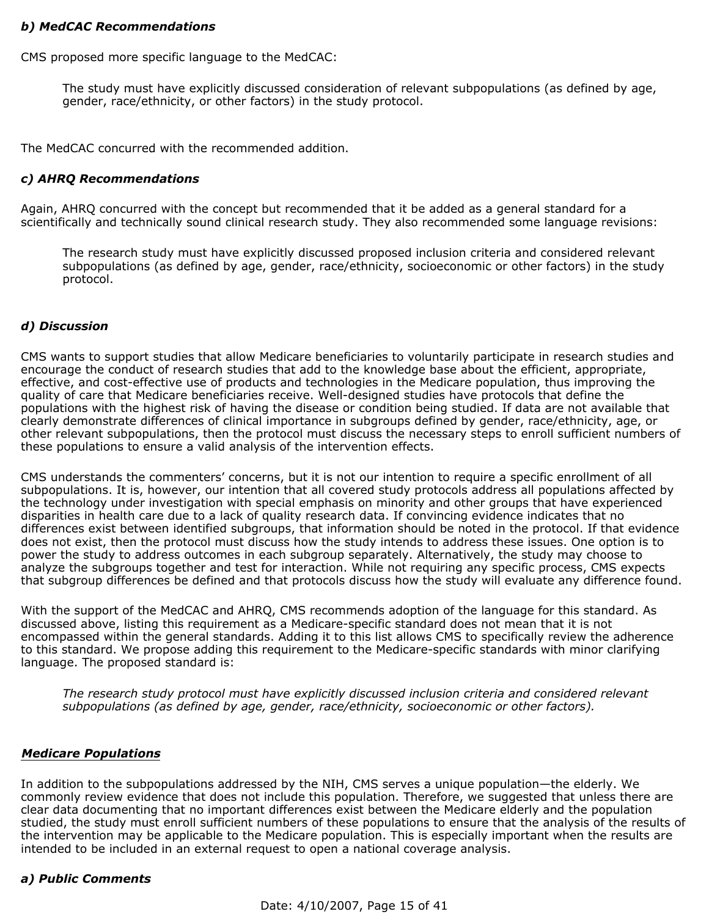### *b) MedCAC Recommendations*

CMS proposed more specific language to the MedCAC:

The study must have explicitly discussed consideration of relevant subpopulations (as defined by age, gender, race/ethnicity, or other factors) in the study protocol.

The MedCAC concurred with the recommended addition.

# *c) AHRQ Recommendations*

Again, AHRQ concurred with the concept but recommended that it be added as a general standard for a scientifically and technically sound clinical research study. They also recommended some language revisions:

The research study must have explicitly discussed proposed inclusion criteria and considered relevant subpopulations (as defined by age, gender, race/ethnicity, socioeconomic or other factors) in the study protocol.

## *d) Discussion*

CMS wants to support studies that allow Medicare beneficiaries to voluntarily participate in research studies and encourage the conduct of research studies that add to the knowledge base about the efficient, appropriate, effective, and cost-effective use of products and technologies in the Medicare population, thus improving the quality of care that Medicare beneficiaries receive. Well-designed studies have protocols that define the populations with the highest risk of having the disease or condition being studied. If data are not available that clearly demonstrate differences of clinical importance in subgroups defined by gender, race/ethnicity, age, or other relevant subpopulations, then the protocol must discuss the necessary steps to enroll sufficient numbers of these populations to ensure a valid analysis of the intervention effects.

CMS understands the commenters' concerns, but it is not our intention to require a specific enrollment of all subpopulations. It is, however, our intention that all covered study protocols address all populations affected by the technology under investigation with special emphasis on minority and other groups that have experienced disparities in health care due to a lack of quality research data. If convincing evidence indicates that no differences exist between identified subgroups, that information should be noted in the protocol. If that evidence does not exist, then the protocol must discuss how the study intends to address these issues. One option is to power the study to address outcomes in each subgroup separately. Alternatively, the study may choose to analyze the subgroups together and test for interaction. While not requiring any specific process, CMS expects that subgroup differences be defined and that protocols discuss how the study will evaluate any difference found.

With the support of the MedCAC and AHRQ, CMS recommends adoption of the language for this standard. As discussed above, listing this requirement as a Medicare-specific standard does not mean that it is not encompassed within the general standards. Adding it to this list allows CMS to specifically review the adherence to this standard. We propose adding this requirement to the Medicare-specific standards with minor clarifying language. The proposed standard is:

*The research study protocol must have explicitly discussed inclusion criteria and considered relevant subpopulations (as defined by age, gender, race/ethnicity, socioeconomic or other factors).*

### **Medicare Populations**

In addition to the subpopulations addressed by the NIH, CMS serves a unique population—the elderly. We commonly review evidence that does not include this population. Therefore, we suggested that unless there are clear data documenting that no important differences exist between the Medicare elderly and the population studied, the study must enroll sufficient numbers of these populations to ensure that the analysis of the results of the intervention may be applicable to the Medicare population. This is especially important when the results are intended to be included in an external request to open a national coverage analysis.

# *a) Public Comments*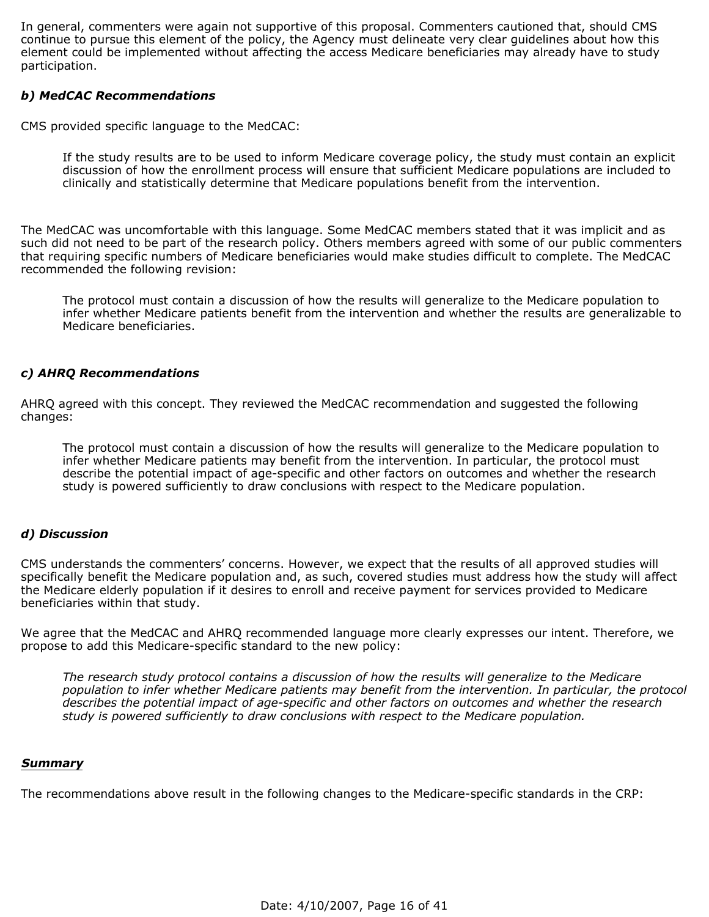In general, commenters were again not supportive of this proposal. Commenters cautioned that, should CMS continue to pursue this element of the policy, the Agency must delineate very clear guidelines about how this element could be implemented without affecting the access Medicare beneficiaries may already have to study participation.

### *b) MedCAC Recommendations*

CMS provided specific language to the MedCAC:

If the study results are to be used to inform Medicare coverage policy, the study must contain an explicit discussion of how the enrollment process will ensure that sufficient Medicare populations are included to clinically and statistically determine that Medicare populations benefit from the intervention.

The MedCAC was uncomfortable with this language. Some MedCAC members stated that it was implicit and as such did not need to be part of the research policy. Others members agreed with some of our public commenters that requiring specific numbers of Medicare beneficiaries would make studies difficult to complete. The MedCAC recommended the following revision:

The protocol must contain a discussion of how the results will generalize to the Medicare population to infer whether Medicare patients benefit from the intervention and whether the results are generalizable to Medicare beneficiaries.

### *c) AHRQ Recommendations*

AHRQ agreed with this concept. They reviewed the MedCAC recommendation and suggested the following changes:

The protocol must contain a discussion of how the results will generalize to the Medicare population to infer whether Medicare patients may benefit from the intervention. In particular, the protocol must describe the potential impact of age-specific and other factors on outcomes and whether the research study is powered sufficiently to draw conclusions with respect to the Medicare population.

### *d) Discussion*

CMS understands the commenters' concerns. However, we expect that the results of all approved studies will specifically benefit the Medicare population and, as such, covered studies must address how the study will affect the Medicare elderly population if it desires to enroll and receive payment for services provided to Medicare beneficiaries within that study.

We agree that the MedCAC and AHRQ recommended language more clearly expresses our intent. Therefore, we propose to add this Medicare-specific standard to the new policy:

*The research study protocol contains a discussion of how the results will generalize to the Medicare population to infer whether Medicare patients may benefit from the intervention. In particular, the protocol describes the potential impact of age-specific and other factors on outcomes and whether the research study is powered sufficiently to draw conclusions with respect to the Medicare population.*

#### **Summary**

The recommendations above result in the following changes to the Medicare-specific standards in the CRP: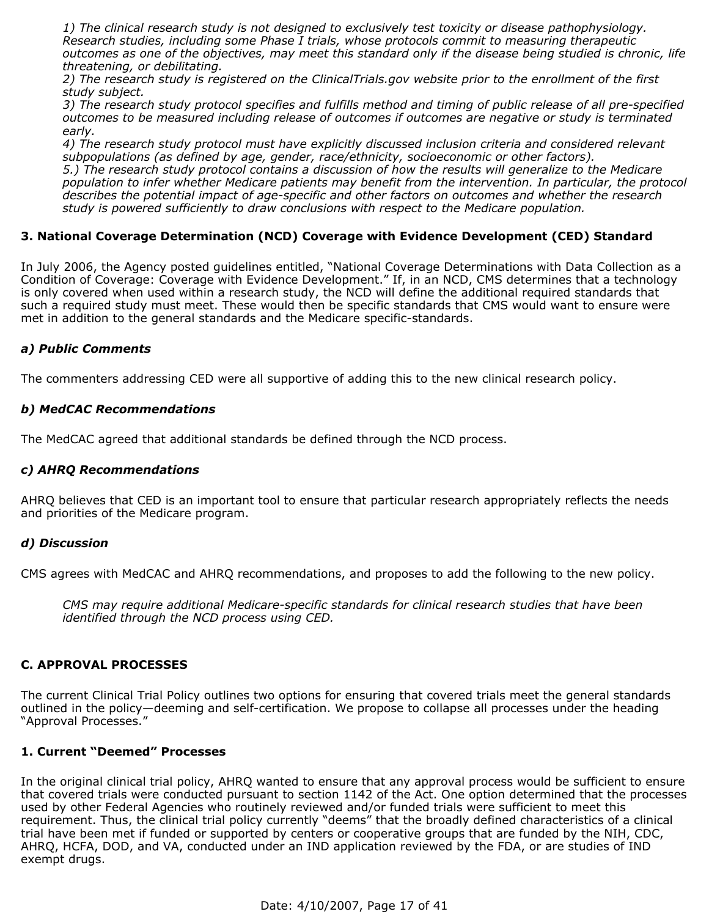*1) The clinical research study is not designed to exclusively test toxicity or disease pathophysiology. Research studies, including some Phase I trials, whose protocols commit to measuring therapeutic outcomes as one of the objectives, may meet this standard only if the disease being studied is chronic, life threatening, or debilitating.*

*2) The research study is registered on the ClinicalTrials.gov website prior to the enrollment of the first study subject.*

*3) The research study protocol specifies and fulfills method and timing of public release of all pre-specified outcomes to be measured including release of outcomes if outcomes are negative or study is terminated early.*

*4) The research study protocol must have explicitly discussed inclusion criteria and considered relevant subpopulations (as defined by age, gender, race/ethnicity, socioeconomic or other factors). 5.) The research study protocol contains a discussion of how the results will generalize to the Medicare population to infer whether Medicare patients may benefit from the intervention. In particular, the protocol describes the potential impact of age-specific and other factors on outcomes and whether the research study is powered sufficiently to draw conclusions with respect to the Medicare population.*

## **3. National Coverage Determination (NCD) Coverage with Evidence Development (CED) Standard**

In July 2006, the Agency posted guidelines entitled, "National Coverage Determinations with Data Collection as a Condition of Coverage: Coverage with Evidence Development." If, in an NCD, CMS determines that a technology is only covered when used within a research study, the NCD will define the additional required standards that such a required study must meet. These would then be specific standards that CMS would want to ensure were met in addition to the general standards and the Medicare specific-standards.

## *a) Public Comments*

The commenters addressing CED were all supportive of adding this to the new clinical research policy.

### *b) MedCAC Recommendations*

The MedCAC agreed that additional standards be defined through the NCD process.

### *c) AHRQ Recommendations*

AHRQ believes that CED is an important tool to ensure that particular research appropriately reflects the needs and priorities of the Medicare program.

### *d) Discussion*

CMS agrees with MedCAC and AHRQ recommendations, and proposes to add the following to the new policy.

*CMS may require additional Medicare-specific standards for clinical research studies that have been identified through the NCD process using CED.*

### **C. APPROVAL PROCESSES**

The current Clinical Trial Policy outlines two options for ensuring that covered trials meet the general standards outlined in the policy—deeming and self-certification. We propose to collapse all processes under the heading "Approval Processes."

### **1. Current "Deemed" Processes**

In the original clinical trial policy, AHRQ wanted to ensure that any approval process would be sufficient to ensure that covered trials were conducted pursuant to section 1142 of the Act. One option determined that the processes used by other Federal Agencies who routinely reviewed and/or funded trials were sufficient to meet this requirement. Thus, the clinical trial policy currently "deems" that the broadly defined characteristics of a clinical trial have been met if funded or supported by centers or cooperative groups that are funded by the NIH, CDC, AHRQ, HCFA, DOD, and VA, conducted under an IND application reviewed by the FDA, or are studies of IND exempt drugs.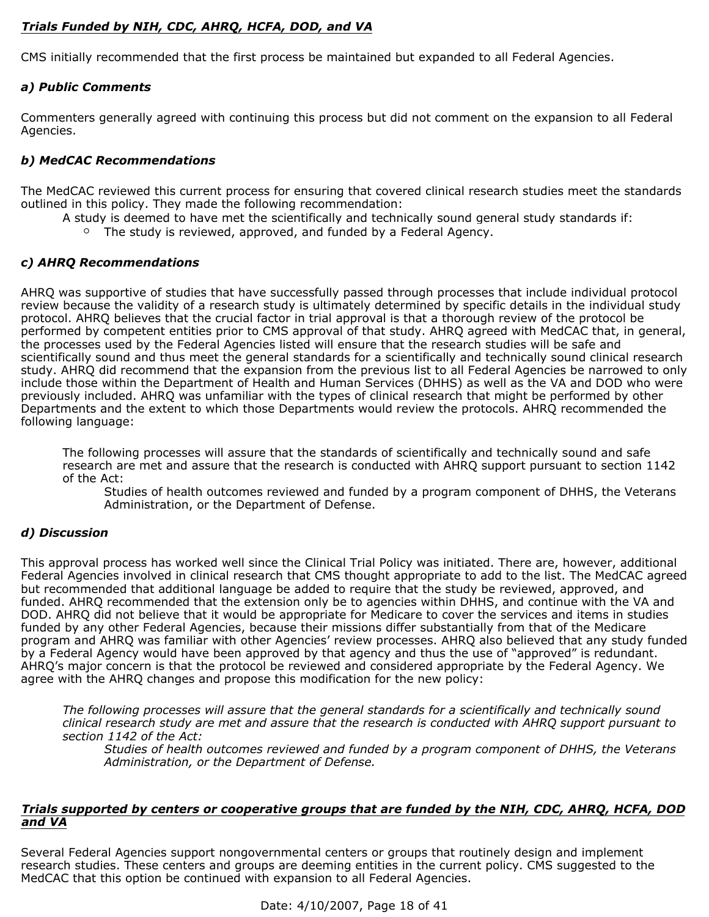# **Trials Funded by NIH, CDC, AHRQ, HCFA, DOD, and VA**

CMS initially recommended that the first process be maintained but expanded to all Federal Agencies.

# *a) Public Comments*

Commenters generally agreed with continuing this process but did not comment on the expansion to all Federal Agencies.

# *b) MedCAC Recommendations*

The MedCAC reviewed this current process for ensuring that covered clinical research studies meet the standards outlined in this policy. They made the following recommendation:

A study is deemed to have met the scientifically and technically sound general study standards if:

◦ The study is reviewed, approved, and funded by a Federal Agency.

### *c) AHRQ Recommendations*

AHRQ was supportive of studies that have successfully passed through processes that include individual protocol review because the validity of a research study is ultimately determined by specific details in the individual study protocol. AHRQ believes that the crucial factor in trial approval is that a thorough review of the protocol be performed by competent entities prior to CMS approval of that study. AHRQ agreed with MedCAC that, in general, the processes used by the Federal Agencies listed will ensure that the research studies will be safe and scientifically sound and thus meet the general standards for a scientifically and technically sound clinical research study. AHRQ did recommend that the expansion from the previous list to all Federal Agencies be narrowed to only include those within the Department of Health and Human Services (DHHS) as well as the VA and DOD who were previously included. AHRQ was unfamiliar with the types of clinical research that might be performed by other Departments and the extent to which those Departments would review the protocols. AHRQ recommended the following language:

The following processes will assure that the standards of scientifically and technically sound and safe research are met and assure that the research is conducted with AHRQ support pursuant to section 1142 of the Act:

Studies of health outcomes reviewed and funded by a program component of DHHS, the Veterans Administration, or the Department of Defense.

### *d) Discussion*

This approval process has worked well since the Clinical Trial Policy was initiated. There are, however, additional Federal Agencies involved in clinical research that CMS thought appropriate to add to the list. The MedCAC agreed but recommended that additional language be added to require that the study be reviewed, approved, and funded. AHRQ recommended that the extension only be to agencies within DHHS, and continue with the VA and DOD. AHRQ did not believe that it would be appropriate for Medicare to cover the services and items in studies funded by any other Federal Agencies, because their missions differ substantially from that of the Medicare program and AHRQ was familiar with other Agencies' review processes. AHRQ also believed that any study funded by a Federal Agency would have been approved by that agency and thus the use of "approved" is redundant. AHRQ's major concern is that the protocol be reviewed and considered appropriate by the Federal Agency. We agree with the AHRQ changes and propose this modification for the new policy:

*The following processes will assure that the general standards for a scientifically and technically sound clinical research study are met and assure that the research is conducted with AHRQ support pursuant to section 1142 of the Act:*

*Studies of health outcomes reviewed and funded by a program component of DHHS, the Veterans Administration, or the Department of Defense.*

### **Trials supported by centers or cooperative groups that are funded by the NIH, CDC, AHRQ, HCFA, DOD and VA**

Several Federal Agencies support nongovernmental centers or groups that routinely design and implement research studies. These centers and groups are deeming entities in the current policy. CMS suggested to the MedCAC that this option be continued with expansion to all Federal Agencies.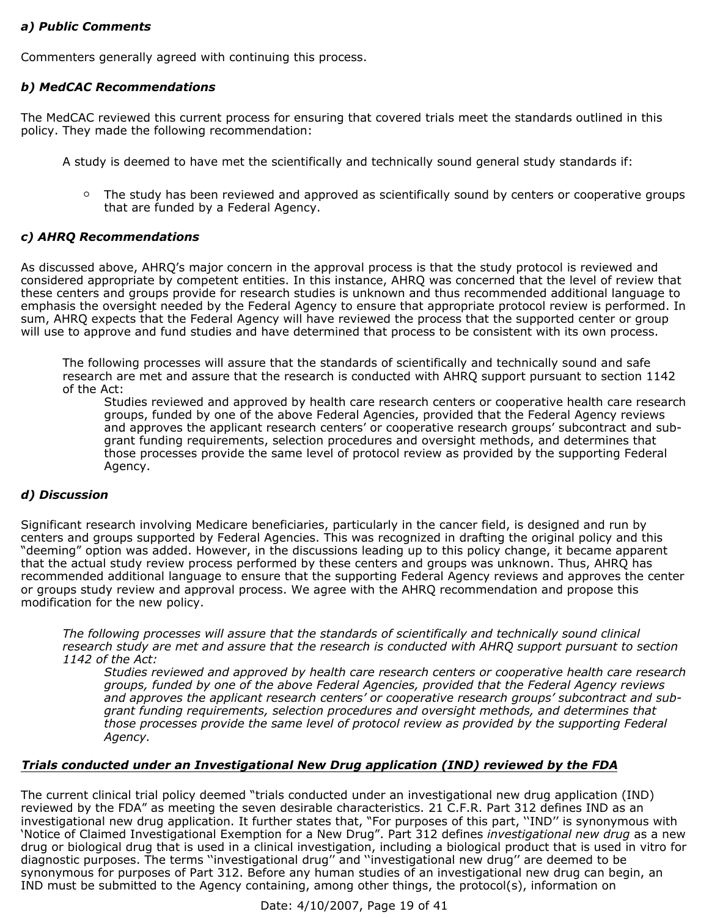## *a) Public Comments*

Commenters generally agreed with continuing this process.

# *b) MedCAC Recommendations*

The MedCAC reviewed this current process for ensuring that covered trials meet the standards outlined in this policy. They made the following recommendation:

A study is deemed to have met the scientifically and technically sound general study standards if:

The study has been reviewed and approved as scientifically sound by centers or cooperative groups that are funded by a Federal Agency.

### *c) AHRQ Recommendations*

As discussed above, AHRQ's major concern in the approval process is that the study protocol is reviewed and considered appropriate by competent entities. In this instance, AHRQ was concerned that the level of review that these centers and groups provide for research studies is unknown and thus recommended additional language to emphasis the oversight needed by the Federal Agency to ensure that appropriate protocol review is performed. In sum, AHRQ expects that the Federal Agency will have reviewed the process that the supported center or group will use to approve and fund studies and have determined that process to be consistent with its own process.

The following processes will assure that the standards of scientifically and technically sound and safe research are met and assure that the research is conducted with AHRQ support pursuant to section 1142 of the Act:

Studies reviewed and approved by health care research centers or cooperative health care research groups, funded by one of the above Federal Agencies, provided that the Federal Agency reviews and approves the applicant research centers' or cooperative research groups' subcontract and subgrant funding requirements, selection procedures and oversight methods, and determines that those processes provide the same level of protocol review as provided by the supporting Federal Agency.

### *d) Discussion*

Significant research involving Medicare beneficiaries, particularly in the cancer field, is designed and run by centers and groups supported by Federal Agencies. This was recognized in drafting the original policy and this "deeming" option was added. However, in the discussions leading up to this policy change, it became apparent that the actual study review process performed by these centers and groups was unknown. Thus, AHRQ has recommended additional language to ensure that the supporting Federal Agency reviews and approves the center or groups study review and approval process. We agree with the AHRQ recommendation and propose this modification for the new policy.

*The following processes will assure that the standards of scientifically and technically sound clinical research study are met and assure that the research is conducted with AHRQ support pursuant to section 1142 of the Act:*

*Studies reviewed and approved by health care research centers or cooperative health care research groups, funded by one of the above Federal Agencies, provided that the Federal Agency reviews and approves the applicant research centers' or cooperative research groups' subcontract and subgrant funding requirements, selection procedures and oversight methods, and determines that those processes provide the same level of protocol review as provided by the supporting Federal Agency.*

### **Trials conducted under an Investigational New Drug application (IND) reviewed by the FDA**

The current clinical trial policy deemed "trials conducted under an investigational new drug application (IND) reviewed by the FDA" as meeting the seven desirable characteristics. 21 C.F.R. Part 312 defines IND as an investigational new drug application. It further states that, "For purposes of this part, ''IND'' is synonymous with 'Notice of Claimed Investigational Exemption for a New Drug". Part 312 defines *investigational new drug* as a new drug or biological drug that is used in a clinical investigation, including a biological product that is used in vitro for diagnostic purposes. The terms ''investigational drug'' and ''investigational new drug'' are deemed to be synonymous for purposes of Part 312. Before any human studies of an investigational new drug can begin, an IND must be submitted to the Agency containing, among other things, the protocol(s), information on

Date: 4/10/2007, Page 19 of 41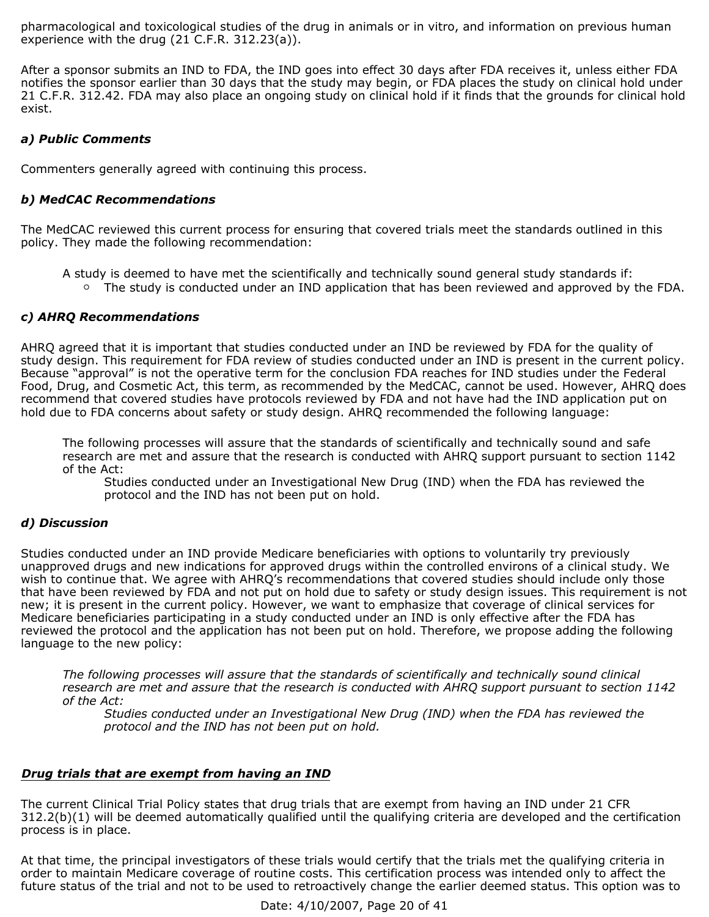pharmacological and toxicological studies of the drug in animals or in vitro, and information on previous human experience with the drug (21 C.F.R. 312.23(a)).

After a sponsor submits an IND to FDA, the IND goes into effect 30 days after FDA receives it, unless either FDA notifies the sponsor earlier than 30 days that the study may begin, or FDA places the study on clinical hold under 21 C.F.R. 312.42. FDA may also place an ongoing study on clinical hold if it finds that the grounds for clinical hold exist.

## *a) Public Comments*

Commenters generally agreed with continuing this process.

# *b) MedCAC Recommendations*

The MedCAC reviewed this current process for ensuring that covered trials meet the standards outlined in this policy. They made the following recommendation:

- A study is deemed to have met the scientifically and technically sound general study standards if:
	- The study is conducted under an IND application that has been reviewed and approved by the FDA.

### *c) AHRQ Recommendations*

AHRQ agreed that it is important that studies conducted under an IND be reviewed by FDA for the quality of study design. This requirement for FDA review of studies conducted under an IND is present in the current policy. Because "approval" is not the operative term for the conclusion FDA reaches for IND studies under the Federal Food, Drug, and Cosmetic Act, this term, as recommended by the MedCAC, cannot be used. However, AHRQ does recommend that covered studies have protocols reviewed by FDA and not have had the IND application put on hold due to FDA concerns about safety or study design. AHRQ recommended the following language:

The following processes will assure that the standards of scientifically and technically sound and safe research are met and assure that the research is conducted with AHRQ support pursuant to section 1142 of the Act:

Studies conducted under an Investigational New Drug (IND) when the FDA has reviewed the protocol and the IND has not been put on hold.

### *d) Discussion*

Studies conducted under an IND provide Medicare beneficiaries with options to voluntarily try previously unapproved drugs and new indications for approved drugs within the controlled environs of a clinical study. We wish to continue that. We agree with AHRQ's recommendations that covered studies should include only those that have been reviewed by FDA and not put on hold due to safety or study design issues. This requirement is not new; it is present in the current policy. However, we want to emphasize that coverage of clinical services for Medicare beneficiaries participating in a study conducted under an IND is only effective after the FDA has reviewed the protocol and the application has not been put on hold. Therefore, we propose adding the following language to the new policy:

*The following processes will assure that the standards of scientifically and technically sound clinical research are met and assure that the research is conducted with AHRQ support pursuant to section 1142 of the Act:*

*Studies conducted under an Investigational New Drug (IND) when the FDA has reviewed the protocol and the IND has not been put on hold.*

### **Drug trials that are exempt from having an IND**

The current Clinical Trial Policy states that drug trials that are exempt from having an IND under 21 CFR 312.2(b)(1) will be deemed automatically qualified until the qualifying criteria are developed and the certification process is in place.

At that time, the principal investigators of these trials would certify that the trials met the qualifying criteria in order to maintain Medicare coverage of routine costs. This certification process was intended only to affect the future status of the trial and not to be used to retroactively change the earlier deemed status. This option was to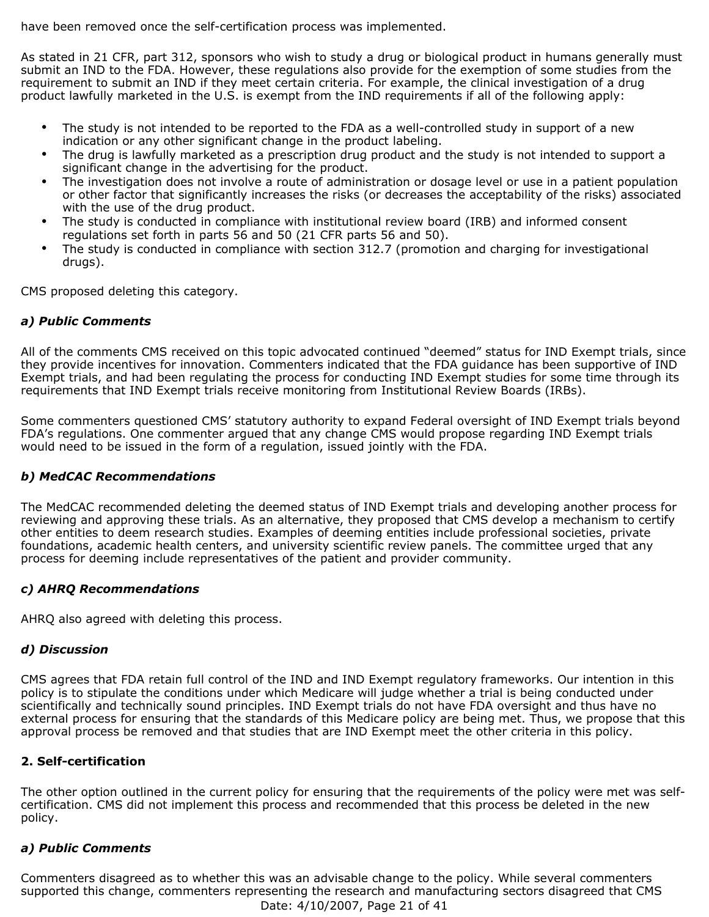have been removed once the self-certification process was implemented.

As stated in 21 CFR, part 312, sponsors who wish to study a drug or biological product in humans generally must submit an IND to the FDA. However, these regulations also provide for the exemption of some studies from the requirement to submit an IND if they meet certain criteria. For example, the clinical investigation of a drug product lawfully marketed in the U.S. is exempt from the IND requirements if all of the following apply:

- The study is not intended to be reported to the FDA as a well-controlled study in support of a new indication or any other significant change in the product labeling.
- The drug is lawfully marketed as a prescription drug product and the study is not intended to support a significant change in the advertising for the product.
- The investigation does not involve a route of administration or dosage level or use in a patient population or other factor that significantly increases the risks (or decreases the acceptability of the risks) associated with the use of the drug product.
- The study is conducted in compliance with institutional review board (IRB) and informed consent regulations set forth in parts 56 and 50 (21 CFR parts 56 and 50).
- The study is conducted in compliance with section 312.7 (promotion and charging for investigational drugs).

CMS proposed deleting this category.

# *a) Public Comments*

All of the comments CMS received on this topic advocated continued "deemed" status for IND Exempt trials, since they provide incentives for innovation. Commenters indicated that the FDA guidance has been supportive of IND Exempt trials, and had been regulating the process for conducting IND Exempt studies for some time through its requirements that IND Exempt trials receive monitoring from Institutional Review Boards (IRBs).

Some commenters questioned CMS' statutory authority to expand Federal oversight of IND Exempt trials beyond FDA's regulations. One commenter argued that any change CMS would propose regarding IND Exempt trials would need to be issued in the form of a regulation, issued jointly with the FDA.

# *b) MedCAC Recommendations*

The MedCAC recommended deleting the deemed status of IND Exempt trials and developing another process for reviewing and approving these trials. As an alternative, they proposed that CMS develop a mechanism to certify other entities to deem research studies. Examples of deeming entities include professional societies, private foundations, academic health centers, and university scientific review panels. The committee urged that any process for deeming include representatives of the patient and provider community.

# *c) AHRQ Recommendations*

AHRQ also agreed with deleting this process.

# *d) Discussion*

CMS agrees that FDA retain full control of the IND and IND Exempt regulatory frameworks. Our intention in this policy is to stipulate the conditions under which Medicare will judge whether a trial is being conducted under scientifically and technically sound principles. IND Exempt trials do not have FDA oversight and thus have no external process for ensuring that the standards of this Medicare policy are being met. Thus, we propose that this approval process be removed and that studies that are IND Exempt meet the other criteria in this policy.

# **2. Self-certification**

The other option outlined in the current policy for ensuring that the requirements of the policy were met was selfcertification. CMS did not implement this process and recommended that this process be deleted in the new policy.

# *a) Public Comments*

Commenters disagreed as to whether this was an advisable change to the policy. While several commenters supported this change, commenters representing the research and manufacturing sectors disagreed that CMS Date: 4/10/2007, Page 21 of 41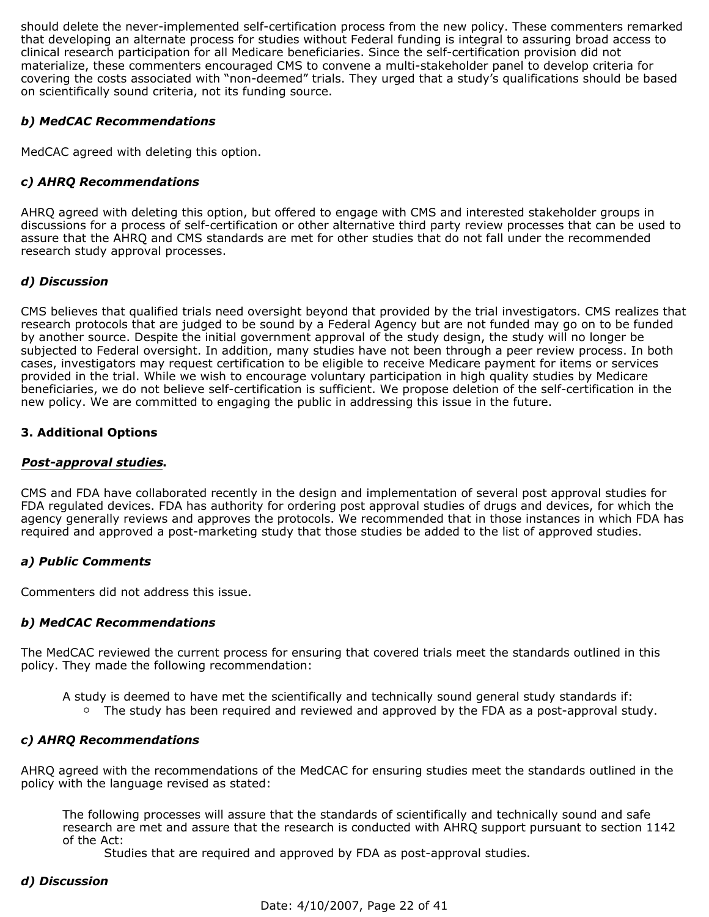should delete the never-implemented self-certification process from the new policy. These commenters remarked that developing an alternate process for studies without Federal funding is integral to assuring broad access to clinical research participation for all Medicare beneficiaries. Since the self-certification provision did not materialize, these commenters encouraged CMS to convene a multi-stakeholder panel to develop criteria for covering the costs associated with "non-deemed" trials. They urged that a study's qualifications should be based on scientifically sound criteria, not its funding source.

## *b) MedCAC Recommendations*

MedCAC agreed with deleting this option.

## *c) AHRQ Recommendations*

AHRQ agreed with deleting this option, but offered to engage with CMS and interested stakeholder groups in discussions for a process of self-certification or other alternative third party review processes that can be used to assure that the AHRQ and CMS standards are met for other studies that do not fall under the recommended research study approval processes.

## *d) Discussion*

CMS believes that qualified trials need oversight beyond that provided by the trial investigators. CMS realizes that research protocols that are judged to be sound by a Federal Agency but are not funded may go on to be funded by another source. Despite the initial government approval of the study design, the study will no longer be subjected to Federal oversight. In addition, many studies have not been through a peer review process. In both cases, investigators may request certification to be eligible to receive Medicare payment for items or services provided in the trial. While we wish to encourage voluntary participation in high quality studies by Medicare beneficiaries, we do not believe self-certification is sufficient. We propose deletion of the self-certification in the new policy. We are committed to engaging the public in addressing this issue in the future.

## **3. Additional Options**

### **Post-approval studies.**

CMS and FDA have collaborated recently in the design and implementation of several post approval studies for FDA regulated devices. FDA has authority for ordering post approval studies of drugs and devices, for which the agency generally reviews and approves the protocols. We recommended that in those instances in which FDA has required and approved a post-marketing study that those studies be added to the list of approved studies.

### *a) Public Comments*

Commenters did not address this issue.

### *b) MedCAC Recommendations*

The MedCAC reviewed the current process for ensuring that covered trials meet the standards outlined in this policy. They made the following recommendation:

- A study is deemed to have met the scientifically and technically sound general study standards if:
	- The study has been required and reviewed and approved by the FDA as a post-approval study.

### *c) AHRQ Recommendations*

AHRQ agreed with the recommendations of the MedCAC for ensuring studies meet the standards outlined in the policy with the language revised as stated:

The following processes will assure that the standards of scientifically and technically sound and safe research are met and assure that the research is conducted with AHRQ support pursuant to section 1142 of the Act:

Studies that are required and approved by FDA as post-approval studies.

### *d) Discussion*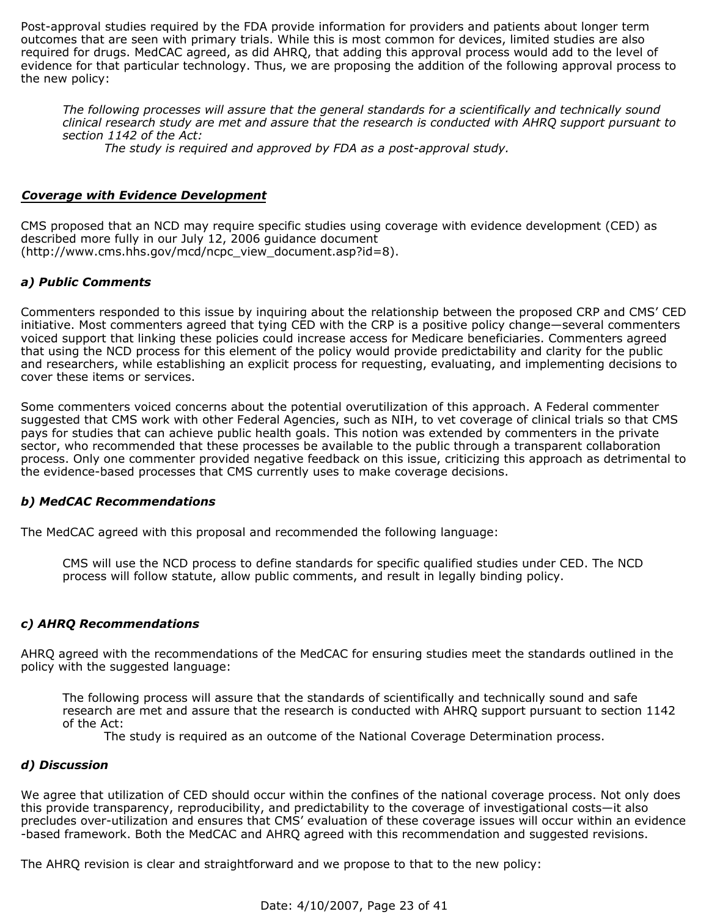Post-approval studies required by the FDA provide information for providers and patients about longer term outcomes that are seen with primary trials. While this is most common for devices, limited studies are also required for drugs. MedCAC agreed, as did AHRQ, that adding this approval process would add to the level of evidence for that particular technology. Thus, we are proposing the addition of the following approval process to the new policy:

*The following processes will assure that the general standards for a scientifically and technically sound clinical research study are met and assure that the research is conducted with AHRQ support pursuant to section 1142 of the Act:*

*The study is required and approved by FDA as a post-approval study.*

### **Coverage with Evidence Development**

CMS proposed that an NCD may require specific studies using coverage with evidence development (CED) as described more fully in our July 12, 2006 guidance document (http://www.cms.hhs.gov/mcd/ncpc\_view\_document.asp?id=8).

### *a) Public Comments*

Commenters responded to this issue by inquiring about the relationship between the proposed CRP and CMS' CED initiative. Most commenters agreed that tying CED with the CRP is a positive policy change—several commenters voiced support that linking these policies could increase access for Medicare beneficiaries. Commenters agreed that using the NCD process for this element of the policy would provide predictability and clarity for the public and researchers, while establishing an explicit process for requesting, evaluating, and implementing decisions to cover these items or services.

Some commenters voiced concerns about the potential overutilization of this approach. A Federal commenter suggested that CMS work with other Federal Agencies, such as NIH, to vet coverage of clinical trials so that CMS pays for studies that can achieve public health goals. This notion was extended by commenters in the private sector, who recommended that these processes be available to the public through a transparent collaboration process. Only one commenter provided negative feedback on this issue, criticizing this approach as detrimental to the evidence-based processes that CMS currently uses to make coverage decisions.

### *b) MedCAC Recommendations*

The MedCAC agreed with this proposal and recommended the following language:

CMS will use the NCD process to define standards for specific qualified studies under CED. The NCD process will follow statute, allow public comments, and result in legally binding policy.

#### *c) AHRQ Recommendations*

AHRQ agreed with the recommendations of the MedCAC for ensuring studies meet the standards outlined in the policy with the suggested language:

The following process will assure that the standards of scientifically and technically sound and safe research are met and assure that the research is conducted with AHRQ support pursuant to section 1142 of the Act:

The study is required as an outcome of the National Coverage Determination process.

#### *d) Discussion*

We agree that utilization of CED should occur within the confines of the national coverage process. Not only does this provide transparency, reproducibility, and predictability to the coverage of investigational costs—it also precludes over-utilization and ensures that CMS' evaluation of these coverage issues will occur within an evidence -based framework. Both the MedCAC and AHRQ agreed with this recommendation and suggested revisions.

The AHRQ revision is clear and straightforward and we propose to that to the new policy: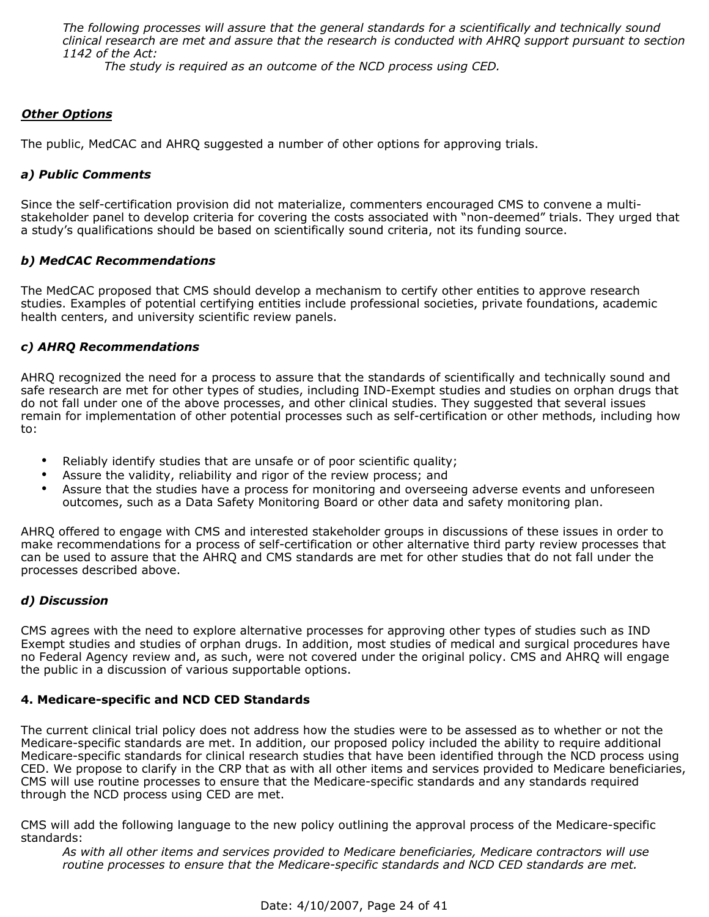*The following processes will assure that the general standards for a scientifically and technically sound clinical research are met and assure that the research is conducted with AHRQ support pursuant to section 1142 of the Act:*

*The study is required as an outcome of the NCD process using CED.*

## **Other Options**

The public, MedCAC and AHRQ suggested a number of other options for approving trials.

## *a) Public Comments*

Since the self-certification provision did not materialize, commenters encouraged CMS to convene a multistakeholder panel to develop criteria for covering the costs associated with "non-deemed" trials. They urged that a study's qualifications should be based on scientifically sound criteria, not its funding source.

### *b) MedCAC Recommendations*

The MedCAC proposed that CMS should develop a mechanism to certify other entities to approve research studies. Examples of potential certifying entities include professional societies, private foundations, academic health centers, and university scientific review panels.

### *c) AHRQ Recommendations*

AHRQ recognized the need for a process to assure that the standards of scientifically and technically sound and safe research are met for other types of studies, including IND-Exempt studies and studies on orphan drugs that do not fall under one of the above processes, and other clinical studies. They suggested that several issues remain for implementation of other potential processes such as self-certification or other methods, including how to:

- Reliably identify studies that are unsafe or of poor scientific quality;
- Assure the validity, reliability and rigor of the review process; and
- Assure that the studies have a process for monitoring and overseeing adverse events and unforeseen outcomes, such as a Data Safety Monitoring Board or other data and safety monitoring plan.

AHRQ offered to engage with CMS and interested stakeholder groups in discussions of these issues in order to make recommendations for a process of self-certification or other alternative third party review processes that can be used to assure that the AHRQ and CMS standards are met for other studies that do not fall under the processes described above.

### *d) Discussion*

CMS agrees with the need to explore alternative processes for approving other types of studies such as IND Exempt studies and studies of orphan drugs. In addition, most studies of medical and surgical procedures have no Federal Agency review and, as such, were not covered under the original policy. CMS and AHRQ will engage the public in a discussion of various supportable options.

### **4. Medicare-specific and NCD CED Standards**

The current clinical trial policy does not address how the studies were to be assessed as to whether or not the Medicare-specific standards are met. In addition, our proposed policy included the ability to require additional Medicare-specific standards for clinical research studies that have been identified through the NCD process using CED. We propose to clarify in the CRP that as with all other items and services provided to Medicare beneficiaries, CMS will use routine processes to ensure that the Medicare-specific standards and any standards required through the NCD process using CED are met.

CMS will add the following language to the new policy outlining the approval process of the Medicare-specific standards:

*As with all other items and services provided to Medicare beneficiaries, Medicare contractors will use routine processes to ensure that the Medicare-specific standards and NCD CED standards are met.*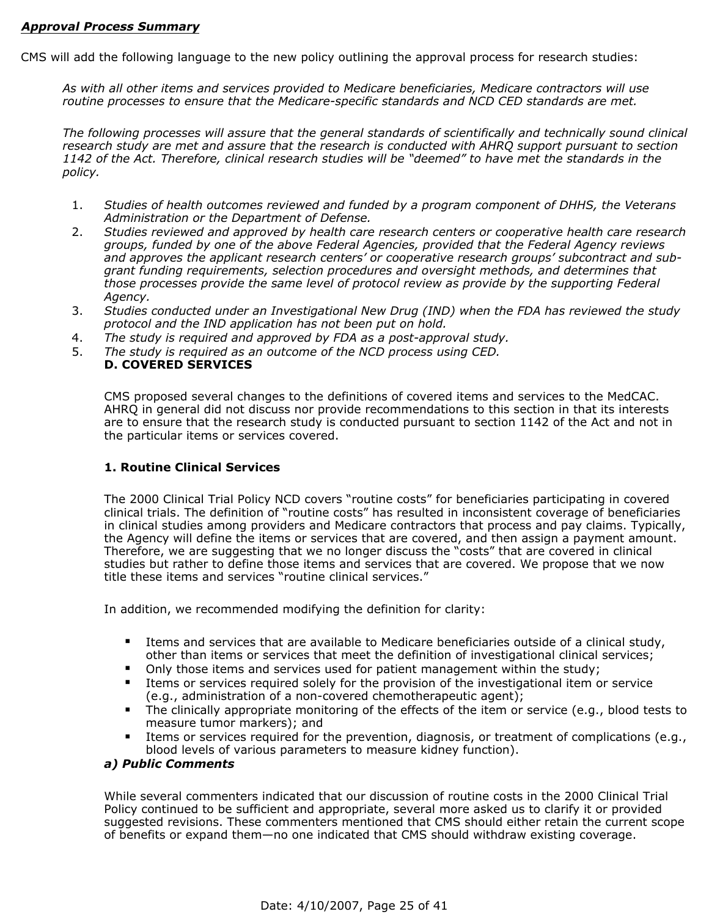### **Approval Process Summary**

CMS will add the following language to the new policy outlining the approval process for research studies:

*As with all other items and services provided to Medicare beneficiaries, Medicare contractors will use routine processes to ensure that the Medicare-specific standards and NCD CED standards are met.*

*The following processes will assure that the general standards of scientifically and technically sound clinical research study are met and assure that the research is conducted with AHRQ support pursuant to section 1142 of the Act. Therefore, clinical research studies will be "deemed" to have met the standards in the policy.*

- 1. *Studies of health outcomes reviewed and funded by a program component of DHHS, the Veterans Administration or the Department of Defense.*
- 2. *Studies reviewed and approved by health care research centers or cooperative health care research groups, funded by one of the above Federal Agencies, provided that the Federal Agency reviews and approves the applicant research centers' or cooperative research groups' subcontract and subgrant funding requirements, selection procedures and oversight methods, and determines that those processes provide the same level of protocol review as provide by the supporting Federal Agency.*
- 3. *Studies conducted under an Investigational New Drug (IND) when the FDA has reviewed the study protocol and the IND application has not been put on hold.*
- 4. *The study is required and approved by FDA as a post-approval study.*
- 5. *The study is required as an outcome of the NCD process using CED.*

## **D. COVERED SERVICES**

CMS proposed several changes to the definitions of covered items and services to the MedCAC. AHRQ in general did not discuss nor provide recommendations to this section in that its interests are to ensure that the research study is conducted pursuant to section 1142 of the Act and not in the particular items or services covered.

### **1. Routine Clinical Services**

The 2000 Clinical Trial Policy NCD covers "routine costs" for beneficiaries participating in covered clinical trials. The definition of "routine costs" has resulted in inconsistent coverage of beneficiaries in clinical studies among providers and Medicare contractors that process and pay claims. Typically, the Agency will define the items or services that are covered, and then assign a payment amount. Therefore, we are suggesting that we no longer discuss the "costs" that are covered in clinical studies but rather to define those items and services that are covered. We propose that we now title these items and services "routine clinical services."

In addition, we recommended modifying the definition for clarity:

- **EXECT** Items and services that are available to Medicare beneficiaries outside of a clinical study, other than items or services that meet the definition of investigational clinical services;
- **•** Only those items and services used for patient management within the study;
- **EXECT** Items or services required solely for the provision of the investigational item or service (e.g., administration of a non-covered chemotherapeutic agent);
- The clinically appropriate monitoring of the effects of the item or service (e.g., blood tests to measure tumor markers); and
- Items or services required for the prevention, diagnosis, or treatment of complications (e.g., blood levels of various parameters to measure kidney function).

#### *a) Public Comments*

While several commenters indicated that our discussion of routine costs in the 2000 Clinical Trial Policy continued to be sufficient and appropriate, several more asked us to clarify it or provided suggested revisions. These commenters mentioned that CMS should either retain the current scope of benefits or expand them—no one indicated that CMS should withdraw existing coverage.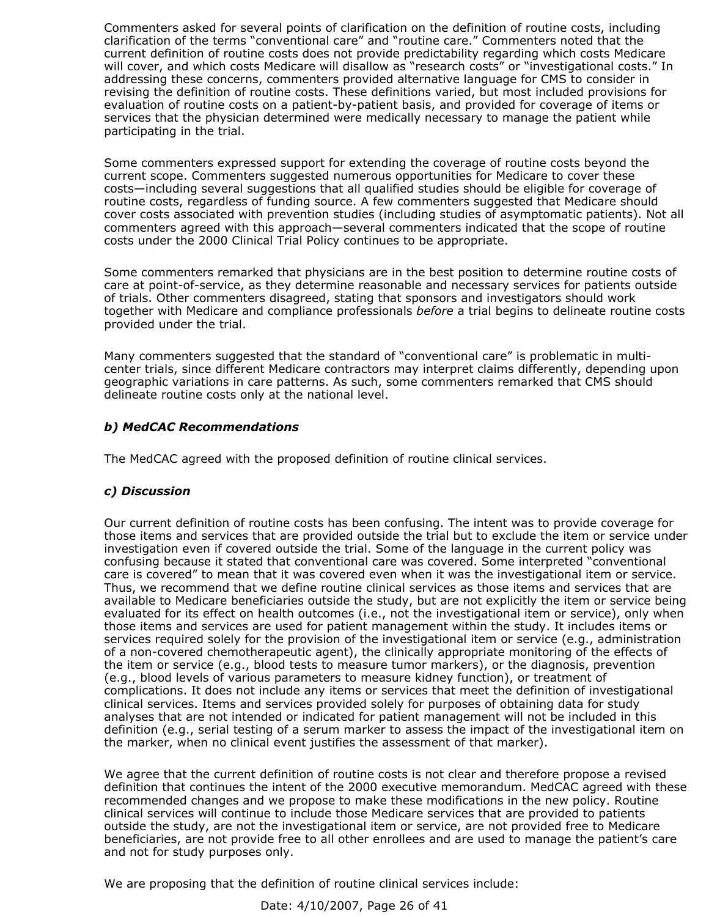Commenters asked for several points of clarification on the definition of routine costs, including clarification of the terms "conventional care" and "routine care." Commenters noted that the current definition of routine costs does not provide predictability regarding which costs Medicare will cover, and which costs Medicare will disallow as "research costs" or "investigational costs." In addressing these concerns, commenters provided alternative language for CMS to consider in revising the definition of routine costs. These definitions varied, but most included provisions for evaluation of routine costs on a patient-by-patient basis, and provided for coverage of items or services that the physician determined were medically necessary to manage the patient while participating in the trial.

Some commenters expressed support for extending the coverage of routine costs beyond the current scope. Commenters suggested numerous opportunities for Medicare to cover these costs—including several suggestions that all qualified studies should be eligible for coverage of routine costs, regardless of funding source. A few commenters suggested that Medicare should cover costs associated with prevention studies (including studies of asymptomatic patients). Not all commenters agreed with this approach—several commenters indicated that the scope of routine costs under the 2000 Clinical Trial Policy continues to be appropriate.

Some commenters remarked that physicians are in the best position to determine routine costs of care at point-of-service, as they determine reasonable and necessary services for patients outside of trials. Other commenters disagreed, stating that sponsors and investigators should work together with Medicare and compliance professionals *before* a trial begins to delineate routine costs provided under the trial.

Many commenters suggested that the standard of "conventional care" is problematic in multicenter trials, since different Medicare contractors may interpret claims differently, depending upon geographic variations in care patterns. As such, some commenters remarked that CMS should delineate routine costs only at the national level.

## *b) MedCAC Recommendations*

The MedCAC agreed with the proposed definition of routine clinical services.

# *c) Discussion*

Our current definition of routine costs has been confusing. The intent was to provide coverage for those items and services that are provided outside the trial but to exclude the item or service under investigation even if covered outside the trial. Some of the language in the current policy was confusing because it stated that conventional care was covered. Some interpreted "conventional care is covered" to mean that it was covered even when it was the investigational item or service. Thus, we recommend that we define routine clinical services as those items and services that are available to Medicare beneficiaries outside the study, but are not explicitly the item or service being evaluated for its effect on health outcomes (i.e., not the investigational item or service), only when those items and services are used for patient management within the study. It includes items or services required solely for the provision of the investigational item or service (e.g., administration of a non-covered chemotherapeutic agent), the clinically appropriate monitoring of the effects of the item or service (e.g., blood tests to measure tumor markers), or the diagnosis, prevention (e.g., blood levels of various parameters to measure kidney function), or treatment of complications. It does not include any items or services that meet the definition of investigational clinical services. Items and services provided solely for purposes of obtaining data for study analyses that are not intended or indicated for patient management will not be included in this definition (e.g., serial testing of a serum marker to assess the impact of the investigational item on the marker, when no clinical event justifies the assessment of that marker).

We agree that the current definition of routine costs is not clear and therefore propose a revised definition that continues the intent of the 2000 executive memorandum. MedCAC agreed with these recommended changes and we propose to make these modifications in the new policy. Routine clinical services will continue to include those Medicare services that are provided to patients outside the study, are not the investigational item or service, are not provided free to Medicare beneficiaries, are not provide free to all other enrollees and are used to manage the patient's care and not for study purposes only.

We are proposing that the definition of routine clinical services include:

Date: 4/10/2007, Page 26 of 41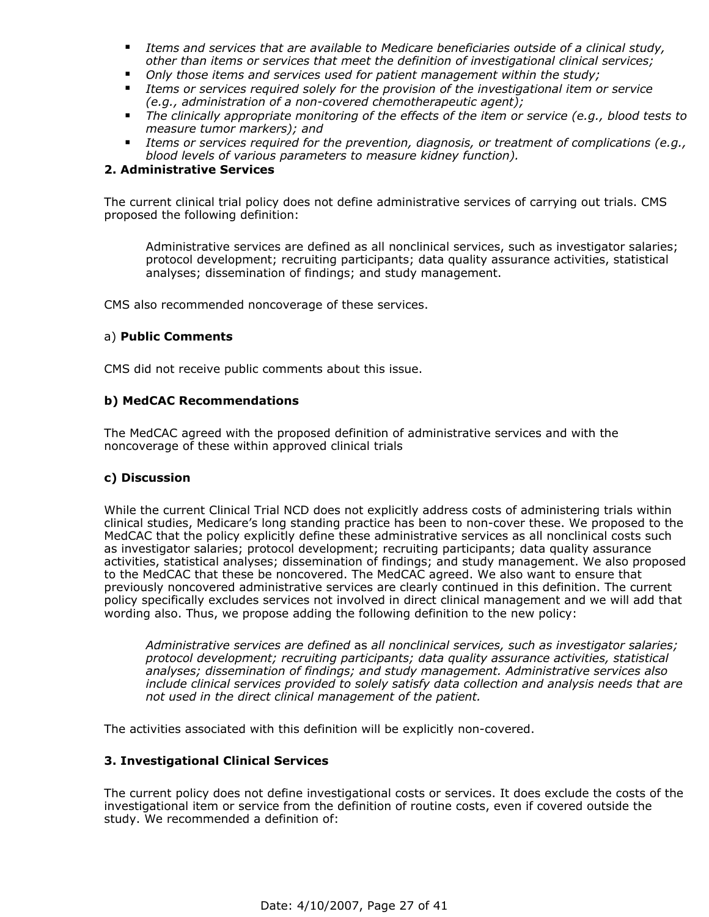- *Items and services that are available to Medicare beneficiaries outside of a clinical study, other than items or services that meet the definition of investigational clinical services;*
- *Only those items and services used for patient management within the study;*
- *Items or services required solely for the provision of the investigational item or service (e.g., administration of a non-covered chemotherapeutic agent);*
- The clinically appropriate monitoring of the effects of the item or service (e.g., blood tests to *measure tumor markers); and*
- *Items or services required for the prevention, diagnosis, or treatment of complications (e.g., blood levels of various parameters to measure kidney function).*

### **2. Administrative Services**

The current clinical trial policy does not define administrative services of carrying out trials. CMS proposed the following definition:

Administrative services are defined as all nonclinical services, such as investigator salaries; protocol development; recruiting participants; data quality assurance activities, statistical analyses; dissemination of findings; and study management.

CMS also recommended noncoverage of these services.

### a) **Public Comments**

CMS did not receive public comments about this issue.

### **b) MedCAC Recommendations**

The MedCAC agreed with the proposed definition of administrative services and with the noncoverage of these within approved clinical trials

### **c) Discussion**

While the current Clinical Trial NCD does not explicitly address costs of administering trials within clinical studies, Medicare's long standing practice has been to non-cover these. We proposed to the MedCAC that the policy explicitly define these administrative services as all nonclinical costs such as investigator salaries; protocol development; recruiting participants; data quality assurance activities, statistical analyses; dissemination of findings; and study management. We also proposed to the MedCAC that these be noncovered. The MedCAC agreed. We also want to ensure that previously noncovered administrative services are clearly continued in this definition. The current policy specifically excludes services not involved in direct clinical management and we will add that wording also. Thus, we propose adding the following definition to the new policy:

*Administrative services are defined* as *all nonclinical services, such as investigator salaries; protocol development; recruiting participants; data quality assurance activities, statistical analyses; dissemination of findings; and study management. Administrative services also include clinical services provided to solely satisfy data collection and analysis needs that are not used in the direct clinical management of the patient.*

The activities associated with this definition will be explicitly non-covered.

### **3. Investigational Clinical Services**

The current policy does not define investigational costs or services. It does exclude the costs of the investigational item or service from the definition of routine costs, even if covered outside the study. We recommended a definition of: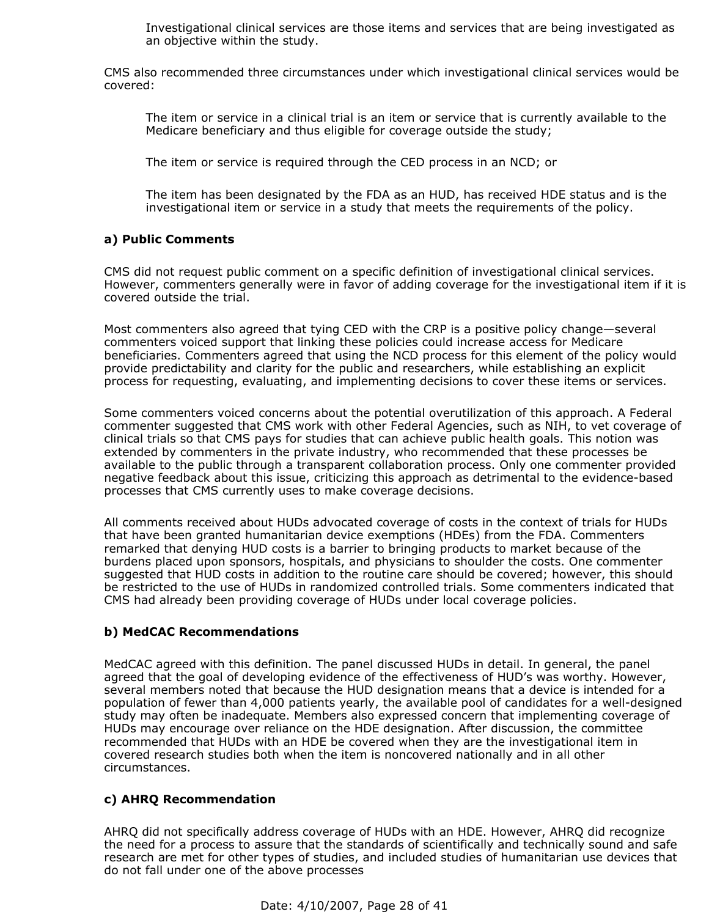Investigational clinical services are those items and services that are being investigated as an objective within the study.

CMS also recommended three circumstances under which investigational clinical services would be covered:

The item or service in a clinical trial is an item or service that is currently available to the Medicare beneficiary and thus eligible for coverage outside the study;

The item or service is required through the CED process in an NCD; or

The item has been designated by the FDA as an HUD, has received HDE status and is the investigational item or service in a study that meets the requirements of the policy.

## **a) Public Comments**

CMS did not request public comment on a specific definition of investigational clinical services. However, commenters generally were in favor of adding coverage for the investigational item if it is covered outside the trial.

Most commenters also agreed that tying CED with the CRP is a positive policy change—several commenters voiced support that linking these policies could increase access for Medicare beneficiaries. Commenters agreed that using the NCD process for this element of the policy would provide predictability and clarity for the public and researchers, while establishing an explicit process for requesting, evaluating, and implementing decisions to cover these items or services.

Some commenters voiced concerns about the potential overutilization of this approach. A Federal commenter suggested that CMS work with other Federal Agencies, such as NIH, to vet coverage of clinical trials so that CMS pays for studies that can achieve public health goals. This notion was extended by commenters in the private industry, who recommended that these processes be available to the public through a transparent collaboration process. Only one commenter provided negative feedback about this issue, criticizing this approach as detrimental to the evidence-based processes that CMS currently uses to make coverage decisions.

All comments received about HUDs advocated coverage of costs in the context of trials for HUDs that have been granted humanitarian device exemptions (HDEs) from the FDA. Commenters remarked that denying HUD costs is a barrier to bringing products to market because of the burdens placed upon sponsors, hospitals, and physicians to shoulder the costs. One commenter suggested that HUD costs in addition to the routine care should be covered; however, this should be restricted to the use of HUDs in randomized controlled trials. Some commenters indicated that CMS had already been providing coverage of HUDs under local coverage policies.

### **b) MedCAC Recommendations**

MedCAC agreed with this definition. The panel discussed HUDs in detail. In general, the panel agreed that the goal of developing evidence of the effectiveness of HUD's was worthy. However, several members noted that because the HUD designation means that a device is intended for a population of fewer than 4,000 patients yearly, the available pool of candidates for a well-designed study may often be inadequate. Members also expressed concern that implementing coverage of HUDs may encourage over reliance on the HDE designation. After discussion, the committee recommended that HUDs with an HDE be covered when they are the investigational item in covered research studies both when the item is noncovered nationally and in all other circumstances.

### **c) AHRQ Recommendation**

AHRQ did not specifically address coverage of HUDs with an HDE. However, AHRQ did recognize the need for a process to assure that the standards of scientifically and technically sound and safe research are met for other types of studies, and included studies of humanitarian use devices that do not fall under one of the above processes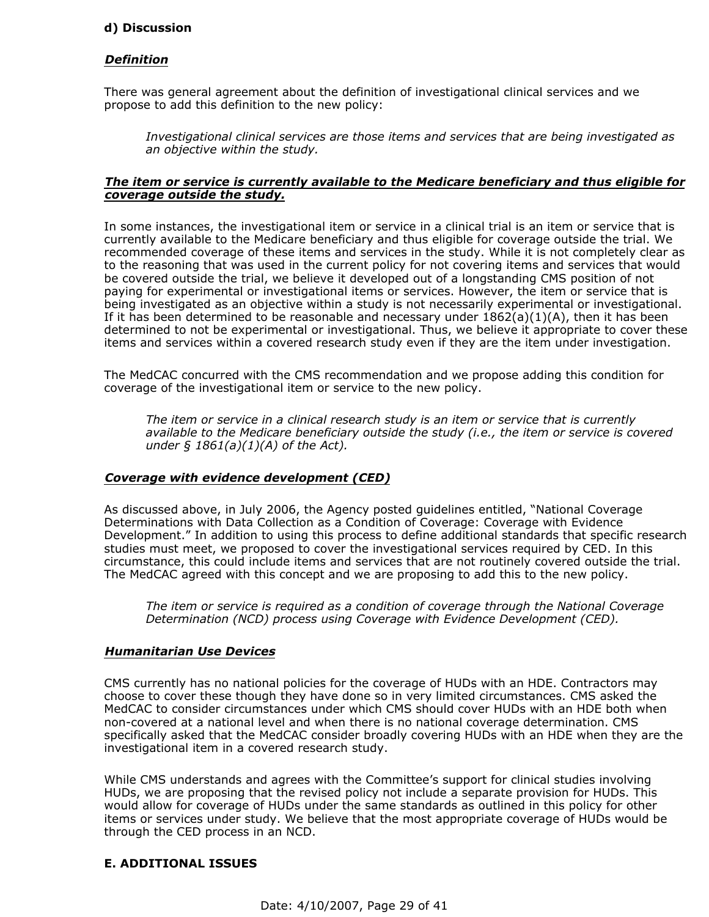### **d) Discussion**

### **Definition**

There was general agreement about the definition of investigational clinical services and we propose to add this definition to the new policy:

*Investigational clinical services are those items and services that are being investigated as an objective within the study.*

### **The item or service is currently available to the Medicare beneficiary and thus eligible for coverage outside the study.**

In some instances, the investigational item or service in a clinical trial is an item or service that is currently available to the Medicare beneficiary and thus eligible for coverage outside the trial. We recommended coverage of these items and services in the study. While it is not completely clear as to the reasoning that was used in the current policy for not covering items and services that would be covered outside the trial, we believe it developed out of a longstanding CMS position of not paying for experimental or investigational items or services. However, the item or service that is being investigated as an objective within a study is not necessarily experimental or investigational. If it has been determined to be reasonable and necessary under  $1862(a)(1)(A)$ , then it has been determined to not be experimental or investigational. Thus, we believe it appropriate to cover these items and services within a covered research study even if they are the item under investigation.

The MedCAC concurred with the CMS recommendation and we propose adding this condition for coverage of the investigational item or service to the new policy.

*The item or service in a clinical research study is an item or service that is currently available to the Medicare beneficiary outside the study (i.e., the item or service is covered under § 1861(a)(1)(A) of the Act).*

#### **Coverage with evidence development (CED)**

As discussed above, in July 2006, the Agency posted guidelines entitled, "National Coverage Determinations with Data Collection as a Condition of Coverage: Coverage with Evidence Development." In addition to using this process to define additional standards that specific research studies must meet, we proposed to cover the investigational services required by CED. In this circumstance, this could include items and services that are not routinely covered outside the trial. The MedCAC agreed with this concept and we are proposing to add this to the new policy.

*The item or service is required as a condition of coverage through the National Coverage Determination (NCD) process using Coverage with Evidence Development (CED).*

#### **Humanitarian Use Devices**

CMS currently has no national policies for the coverage of HUDs with an HDE. Contractors may choose to cover these though they have done so in very limited circumstances. CMS asked the MedCAC to consider circumstances under which CMS should cover HUDs with an HDE both when non-covered at a national level and when there is no national coverage determination. CMS specifically asked that the MedCAC consider broadly covering HUDs with an HDE when they are the investigational item in a covered research study.

While CMS understands and agrees with the Committee's support for clinical studies involving HUDs, we are proposing that the revised policy not include a separate provision for HUDs. This would allow for coverage of HUDs under the same standards as outlined in this policy for other items or services under study. We believe that the most appropriate coverage of HUDs would be through the CED process in an NCD.

#### **E. ADDITIONAL ISSUES**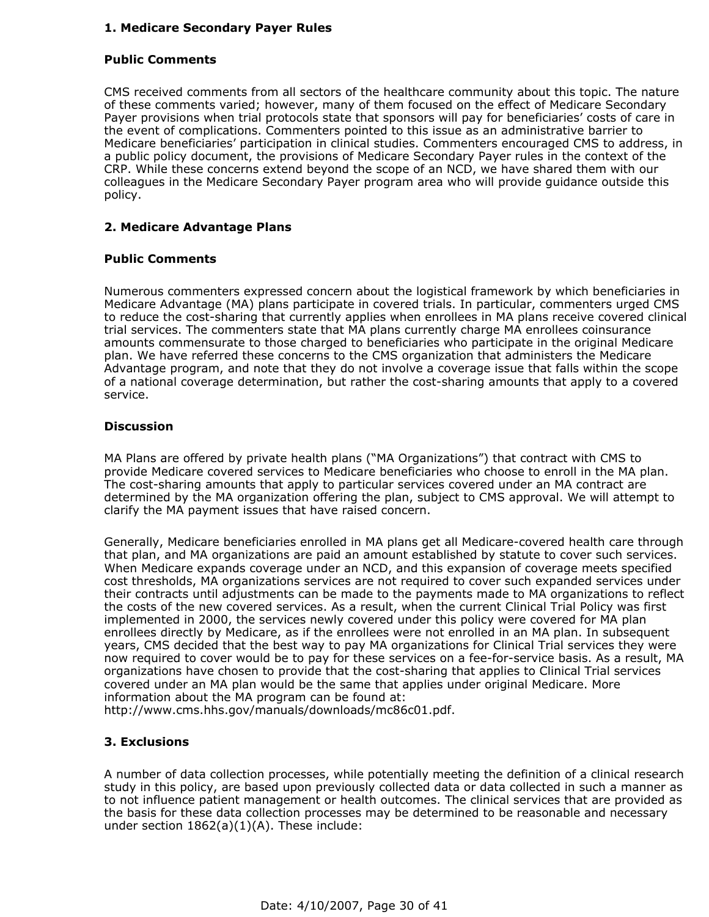## **1. Medicare Secondary Payer Rules**

## **Public Comments**

CMS received comments from all sectors of the healthcare community about this topic. The nature of these comments varied; however, many of them focused on the effect of Medicare Secondary Payer provisions when trial protocols state that sponsors will pay for beneficiaries' costs of care in the event of complications. Commenters pointed to this issue as an administrative barrier to Medicare beneficiaries' participation in clinical studies. Commenters encouraged CMS to address, in a public policy document, the provisions of Medicare Secondary Payer rules in the context of the CRP. While these concerns extend beyond the scope of an NCD, we have shared them with our colleagues in the Medicare Secondary Payer program area who will provide guidance outside this policy.

## **2. Medicare Advantage Plans**

## **Public Comments**

Numerous commenters expressed concern about the logistical framework by which beneficiaries in Medicare Advantage (MA) plans participate in covered trials. In particular, commenters urged CMS to reduce the cost-sharing that currently applies when enrollees in MA plans receive covered clinical trial services. The commenters state that MA plans currently charge MA enrollees coinsurance amounts commensurate to those charged to beneficiaries who participate in the original Medicare plan. We have referred these concerns to the CMS organization that administers the Medicare Advantage program, and note that they do not involve a coverage issue that falls within the scope of a national coverage determination, but rather the cost-sharing amounts that apply to a covered service.

## **Discussion**

MA Plans are offered by private health plans ("MA Organizations") that contract with CMS to provide Medicare covered services to Medicare beneficiaries who choose to enroll in the MA plan. The cost-sharing amounts that apply to particular services covered under an MA contract are determined by the MA organization offering the plan, subject to CMS approval. We will attempt to clarify the MA payment issues that have raised concern.

Generally, Medicare beneficiaries enrolled in MA plans get all Medicare-covered health care through that plan, and MA organizations are paid an amount established by statute to cover such services. When Medicare expands coverage under an NCD, and this expansion of coverage meets specified cost thresholds, MA organizations services are not required to cover such expanded services under their contracts until adjustments can be made to the payments made to MA organizations to reflect the costs of the new covered services. As a result, when the current Clinical Trial Policy was first implemented in 2000, the services newly covered under this policy were covered for MA plan enrollees directly by Medicare, as if the enrollees were not enrolled in an MA plan. In subsequent years, CMS decided that the best way to pay MA organizations for Clinical Trial services they were now required to cover would be to pay for these services on a fee-for-service basis. As a result, MA organizations have chosen to provide that the cost-sharing that applies to Clinical Trial services covered under an MA plan would be the same that applies under original Medicare. More information about the MA program can be found at:

http://www.cms.hhs.gov/manuals/downloads/mc86c01.pdf.

# **3. Exclusions**

A number of data collection processes, while potentially meeting the definition of a clinical research study in this policy, are based upon previously collected data or data collected in such a manner as to not influence patient management or health outcomes. The clinical services that are provided as the basis for these data collection processes may be determined to be reasonable and necessary under section 1862(a)(1)(A). These include: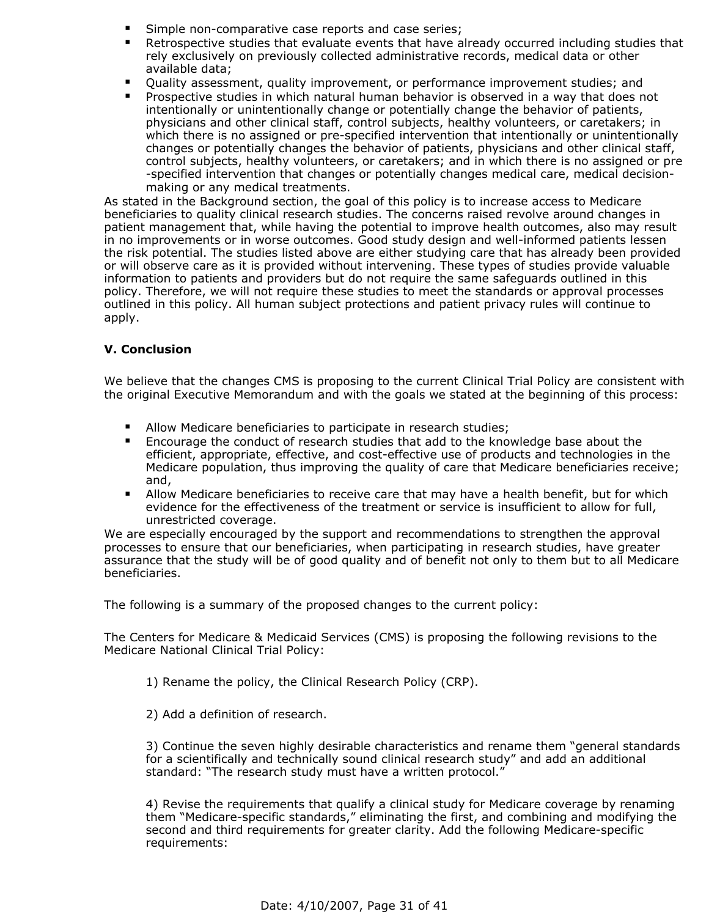- Simple non-comparative case reports and case series;<br>■ Retrospective studies that evaluate events that have a
- Retrospective studies that evaluate events that have already occurred including studies that rely exclusively on previously collected administrative records, medical data or other available data;
- Quality assessment, quality improvement, or performance improvement studies; and
- Prospective studies in which natural human behavior is observed in a way that does not intentionally or unintentionally change or potentially change the behavior of patients, physicians and other clinical staff, control subjects, healthy volunteers, or caretakers; in which there is no assigned or pre-specified intervention that intentionally or unintentionally changes or potentially changes the behavior of patients, physicians and other clinical staff, control subjects, healthy volunteers, or caretakers; and in which there is no assigned or pre -specified intervention that changes or potentially changes medical care, medical decisionmaking or any medical treatments.

As stated in the Background section, the goal of this policy is to increase access to Medicare beneficiaries to quality clinical research studies. The concerns raised revolve around changes in patient management that, while having the potential to improve health outcomes, also may result in no improvements or in worse outcomes. Good study design and well-informed patients lessen the risk potential. The studies listed above are either studying care that has already been provided or will observe care as it is provided without intervening. These types of studies provide valuable information to patients and providers but do not require the same safeguards outlined in this policy. Therefore, we will not require these studies to meet the standards or approval processes outlined in this policy. All human subject protections and patient privacy rules will continue to apply.

## **V. Conclusion**

We believe that the changes CMS is proposing to the current Clinical Trial Policy are consistent with the original Executive Memorandum and with the goals we stated at the beginning of this process:

- Allow Medicare beneficiaries to participate in research studies;
- Encourage the conduct of research studies that add to the knowledge base about the efficient, appropriate, effective, and cost-effective use of products and technologies in the Medicare population, thus improving the quality of care that Medicare beneficiaries receive; and,
- **E** Allow Medicare beneficiaries to receive care that may have a health benefit, but for which evidence for the effectiveness of the treatment or service is insufficient to allow for full, unrestricted coverage.

We are especially encouraged by the support and recommendations to strengthen the approval processes to ensure that our beneficiaries, when participating in research studies, have greater assurance that the study will be of good quality and of benefit not only to them but to all Medicare beneficiaries.

The following is a summary of the proposed changes to the current policy:

The Centers for Medicare & Medicaid Services (CMS) is proposing the following revisions to the Medicare National Clinical Trial Policy:

- 1) Rename the policy, the Clinical Research Policy (CRP).
- 2) Add a definition of research.

3) Continue the seven highly desirable characteristics and rename them "general standards for a scientifically and technically sound clinical research study" and add an additional standard: "The research study must have a written protocol."

4) Revise the requirements that qualify a clinical study for Medicare coverage by renaming them "Medicare-specific standards," eliminating the first, and combining and modifying the second and third requirements for greater clarity. Add the following Medicare-specific requirements: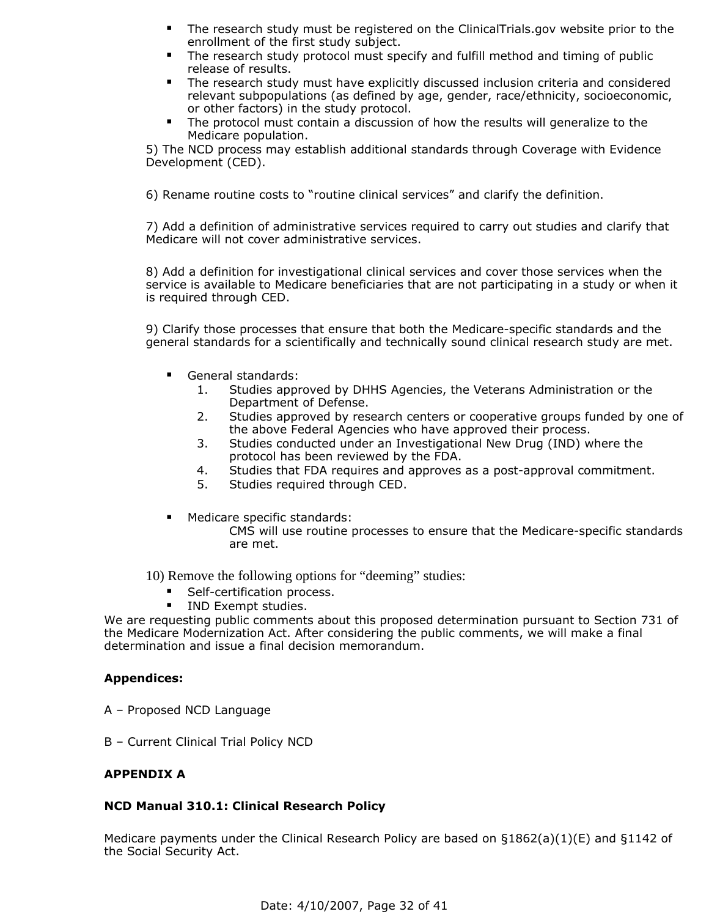- The research study must be registered on the ClinicalTrials.gov website prior to the enrollment of the first study subject.
- **•** The research study protocol must specify and fulfill method and timing of public release of results.
- **•** The research study must have explicitly discussed inclusion criteria and considered relevant subpopulations (as defined by age, gender, race/ethnicity, socioeconomic, or other factors) in the study protocol.
- The protocol must contain a discussion of how the results will generalize to the Medicare population.

5) The NCD process may establish additional standards through Coverage with Evidence Development (CED).

6) Rename routine costs to "routine clinical services" and clarify the definition.

7) Add a definition of administrative services required to carry out studies and clarify that Medicare will not cover administrative services.

8) Add a definition for investigational clinical services and cover those services when the service is available to Medicare beneficiaries that are not participating in a study or when it is required through CED.

9) Clarify those processes that ensure that both the Medicare-specific standards and the general standards for a scientifically and technically sound clinical research study are met.

- General standards:
	- 1. Studies approved by DHHS Agencies, the Veterans Administration or the Department of Defense.
	- 2. Studies approved by research centers or cooperative groups funded by one of the above Federal Agencies who have approved their process.
	- 3. Studies conducted under an Investigational New Drug (IND) where the protocol has been reviewed by the FDA.
	- 4. Studies that FDA requires and approves as a post-approval commitment.
	- 5. Studies required through CED.
- Medicare specific standards:
	- CMS will use routine processes to ensure that the Medicare-specific standards are met.
- 10) Remove the following options for "deeming" studies:
	- Self-certification process.
	- IND Exempt studies.

We are requesting public comments about this proposed determination pursuant to Section 731 of the Medicare Modernization Act. After considering the public comments, we will make a final determination and issue a final decision memorandum.

### **Appendices:**

- A Proposed NCD Language
- B Current Clinical Trial Policy NCD

### **APPENDIX A**

### **NCD Manual 310.1: Clinical Research Policy**

Medicare payments under the Clinical Research Policy are based on §1862(a)(1)(E) and §1142 of the Social Security Act.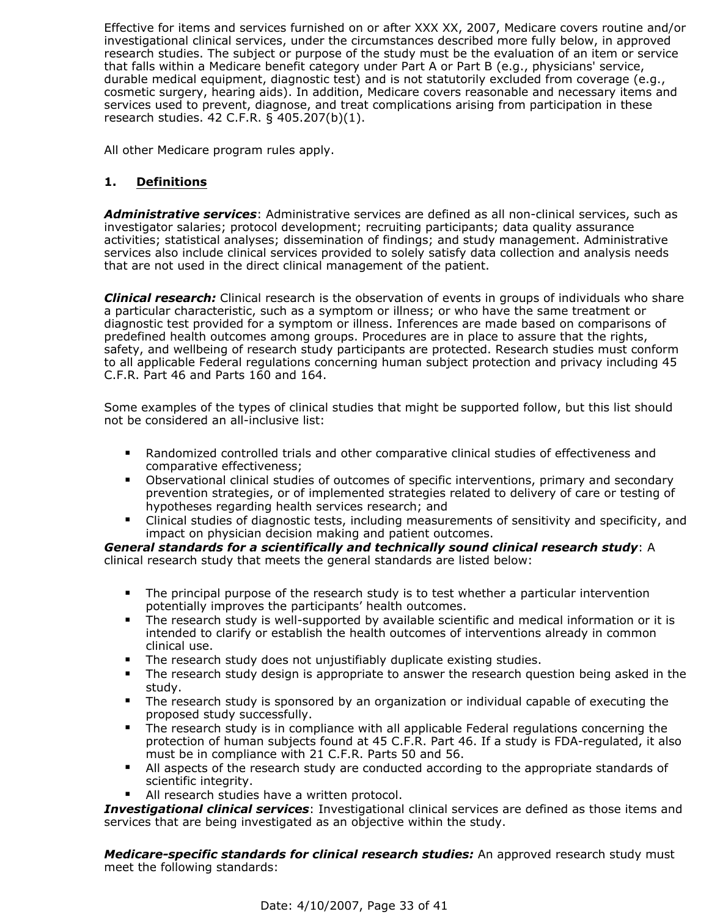Effective for items and services furnished on or after XXX XX, 2007, Medicare covers routine and/or investigational clinical services, under the circumstances described more fully below, in approved research studies. The subject or purpose of the study must be the evaluation of an item or service that falls within a Medicare benefit category under Part A or Part B (e.g., physicians' service, durable medical equipment, diagnostic test) and is not statutorily excluded from coverage (e.g., cosmetic surgery, hearing aids). In addition, Medicare covers reasonable and necessary items and services used to prevent, diagnose, and treat complications arising from participation in these research studies. 42 C.F.R. § 405.207(b)(1).

All other Medicare program rules apply.

# **1. Definitions**

*Administrative services*: Administrative services are defined as all non-clinical services, such as investigator salaries; protocol development; recruiting participants; data quality assurance activities; statistical analyses; dissemination of findings; and study management. Administrative services also include clinical services provided to solely satisfy data collection and analysis needs that are not used in the direct clinical management of the patient.

*Clinical research:* Clinical research is the observation of events in groups of individuals who share a particular characteristic, such as a symptom or illness; or who have the same treatment or diagnostic test provided for a symptom or illness. Inferences are made based on comparisons of predefined health outcomes among groups. Procedures are in place to assure that the rights, safety, and wellbeing of research study participants are protected. Research studies must conform to all applicable Federal regulations concerning human subject protection and privacy including 45 C.F.R. Part 46 and Parts 160 and 164.

Some examples of the types of clinical studies that might be supported follow, but this list should not be considered an all-inclusive list:

- Randomized controlled trials and other comparative clinical studies of effectiveness and comparative effectiveness;
- **•** Observational clinical studies of outcomes of specific interventions, primary and secondary prevention strategies, or of implemented strategies related to delivery of care or testing of hypotheses regarding health services research; and
- Clinical studies of diagnostic tests, including measurements of sensitivity and specificity, and impact on physician decision making and patient outcomes.

*General standards for a scientifically and technically sound clinical research study*: A clinical research study that meets the general standards are listed below:

- **•** The principal purpose of the research study is to test whether a particular intervention potentially improves the participants' health outcomes.
- The research study is well-supported by available scientific and medical information or it is intended to clarify or establish the health outcomes of interventions already in common clinical use.
- The research study does not unjustifiably duplicate existing studies.
- **•** The research study design is appropriate to answer the research question being asked in the study.
- **•** The research study is sponsored by an organization or individual capable of executing the proposed study successfully.
- The research study is in compliance with all applicable Federal regulations concerning the protection of human subjects found at 45 C.F.R. Part 46. If a study is FDA-regulated, it also must be in compliance with 21 C.F.R. Parts 50 and 56.
- All aspects of the research study are conducted according to the appropriate standards of scientific integrity.
- All research studies have a written protocol.

*Investigational clinical services*: Investigational clinical services are defined as those items and services that are being investigated as an objective within the study.

*Medicare-specific standards for clinical research studies:* An approved research study must meet the following standards: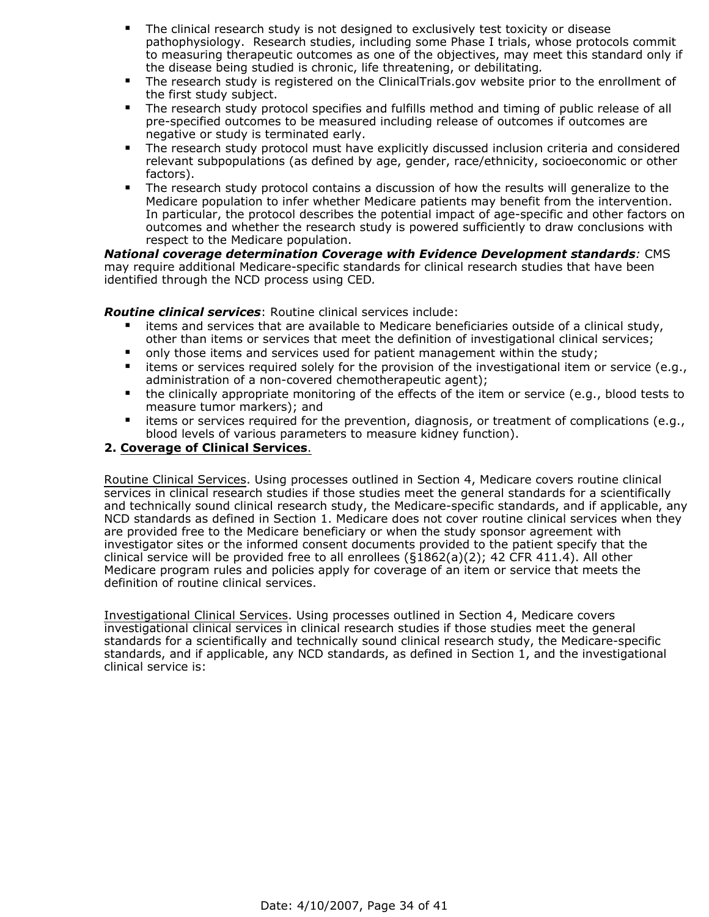- **•** The clinical research study is not designed to exclusively test toxicity or disease pathophysiology. Research studies, including some Phase I trials, whose protocols commit to measuring therapeutic outcomes as one of the objectives, may meet this standard only if the disease being studied is chronic, life threatening, or debilitating*.*
- The research study is registered on the ClinicalTrials.gov website prior to the enrollment of the first study subject.
- **The research study protocol specifies and fulfills method and timing of public release of all** pre-specified outcomes to be measured including release of outcomes if outcomes are negative or study is terminated early.
- **The research study protocol must have explicitly discussed inclusion criteria and considered** relevant subpopulations (as defined by age, gender, race/ethnicity, socioeconomic or other factors).
- **The research study protocol contains a discussion of how the results will generalize to the** Medicare population to infer whether Medicare patients may benefit from the intervention. In particular, the protocol describes the potential impact of age-specific and other factors on outcomes and whether the research study is powered sufficiently to draw conclusions with respect to the Medicare population.

*National coverage determination Coverage with Evidence Development standards:* CMS may require additional Medicare-specific standards for clinical research studies that have been identified through the NCD process using CED*.*

### *Routine clinical services*: Routine clinical services include:

- items and services that are available to Medicare beneficiaries outside of a clinical study, other than items or services that meet the definition of investigational clinical services;
- only those items and services used for patient management within the study;
- items or services required solely for the provision of the investigational item or service (e.g., administration of a non-covered chemotherapeutic agent);
- the clinically appropriate monitoring of the effects of the item or service (e.g., blood tests to measure tumor markers); and
- items or services required for the prevention, diagnosis, or treatment of complications (e.g., blood levels of various parameters to measure kidney function).

### **2. Coverage of Clinical Services**.

Routine Clinical Services. Using processes outlined in Section 4, Medicare covers routine clinical services in clinical research studies if those studies meet the general standards for a scientifically and technically sound clinical research study, the Medicare-specific standards, and if applicable, any NCD standards as defined in Section 1. Medicare does not cover routine clinical services when they are provided free to the Medicare beneficiary or when the study sponsor agreement with investigator sites or the informed consent documents provided to the patient specify that the clinical service will be provided free to all enrollees  $(\S1862(a)(2))$ ; 42 CFR 411.4). All other Medicare program rules and policies apply for coverage of an item or service that meets the definition of routine clinical services.

Investigational Clinical Services. Using processes outlined in Section 4, Medicare covers investigational clinical services in clinical research studies if those studies meet the general standards for a scientifically and technically sound clinical research study, the Medicare-specific standards, and if applicable, any NCD standards, as defined in Section 1, and the investigational clinical service is: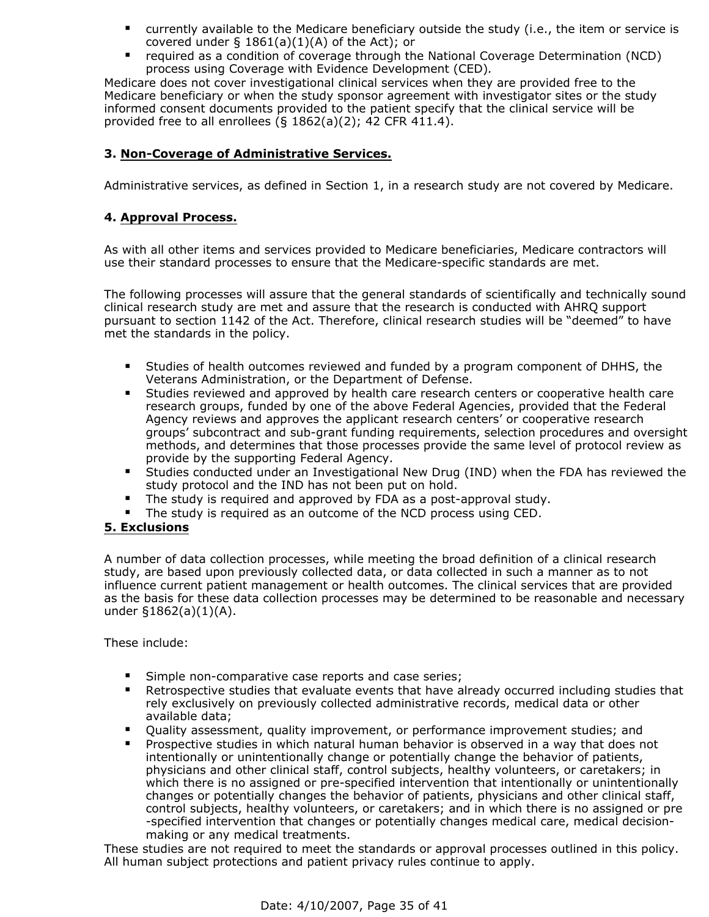- currently available to the Medicare beneficiary outside the study (i.e., the item or service is covered under  $\S$  1861(a)(1)(A) of the Act); or
- required as a condition of coverage through the National Coverage Determination (NCD) process using Coverage with Evidence Development (CED)*.*

Medicare does not cover investigational clinical services when they are provided free to the Medicare beneficiary or when the study sponsor agreement with investigator sites or the study informed consent documents provided to the patient specify that the clinical service will be provided free to all enrollees (§ 1862(a)(2); 42 CFR 411.4).

# **3. Non-Coverage of Administrative Services.**

Administrative services, as defined in Section 1, in a research study are not covered by Medicare.

# **4. Approval Process.**

As with all other items and services provided to Medicare beneficiaries, Medicare contractors will use their standard processes to ensure that the Medicare-specific standards are met.

The following processes will assure that the general standards of scientifically and technically sound clinical research study are met and assure that the research is conducted with AHRQ support pursuant to section 1142 of the Act. Therefore, clinical research studies will be "deemed" to have met the standards in the policy.

- Studies of health outcomes reviewed and funded by a program component of DHHS, the Veterans Administration, or the Department of Defense.
- **EXECT** Studies reviewed and approved by health care research centers or cooperative health care research groups, funded by one of the above Federal Agencies, provided that the Federal Agency reviews and approves the applicant research centers' or cooperative research groups' subcontract and sub-grant funding requirements, selection procedures and oversight methods, and determines that those processes provide the same level of protocol review as provide by the supporting Federal Agency.
- Studies conducted under an Investigational New Drug (IND) when the FDA has reviewed the study protocol and the IND has not been put on hold.
- The study is required and approved by FDA as a post-approval study.
- The study is required as an outcome of the NCD process using CED.

### **5. Exclusions**

A number of data collection processes, while meeting the broad definition of a clinical research study, are based upon previously collected data, or data collected in such a manner as to not influence current patient management or health outcomes. The clinical services that are provided as the basis for these data collection processes may be determined to be reasonable and necessary under §1862(a)(1)(A).

These include:

- **EXTER** Simple non-comparative case reports and case series;
- Retrospective studies that evaluate events that have already occurred including studies that rely exclusively on previously collected administrative records, medical data or other available data;
- Quality assessment, quality improvement, or performance improvement studies; and
- **•** Prospective studies in which natural human behavior is observed in a way that does not intentionally or unintentionally change or potentially change the behavior of patients, physicians and other clinical staff, control subjects, healthy volunteers, or caretakers; in which there is no assigned or pre-specified intervention that intentionally or unintentionally changes or potentially changes the behavior of patients, physicians and other clinical staff, control subjects, healthy volunteers, or caretakers; and in which there is no assigned or pre -specified intervention that changes or potentially changes medical care, medical decisionmaking or any medical treatments.

These studies are not required to meet the standards or approval processes outlined in this policy. All human subject protections and patient privacy rules continue to apply.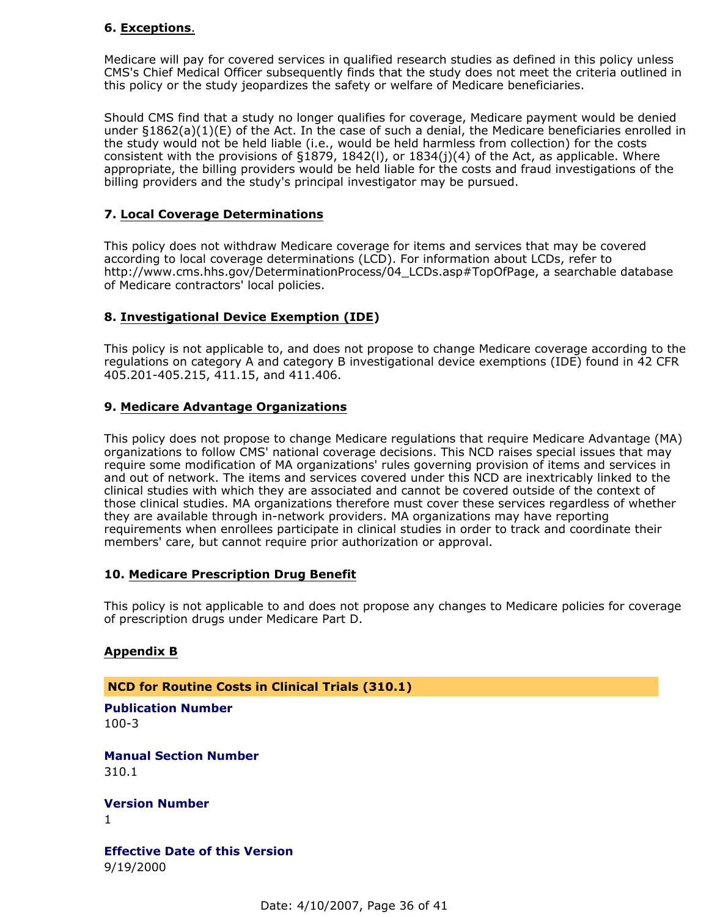# **6. Exceptions**.

Medicare will pay for covered services in qualified research studies as defined in this policy unless CMS's Chief Medical Officer subsequently finds that the study does not meet the criteria outlined in this policy or the study jeopardizes the safety or welfare of Medicare beneficiaries.

Should CMS find that a study no longer qualifies for coverage, Medicare payment would be denied under §1862(a)(1)(E) of the Act. In the case of such a denial, the Medicare beneficiaries enrolled in the study would not be held liable (i.e., would be held harmless from collection) for the costs consistent with the provisions of  $\S 1879$ ,  $1842(1)$ , or  $1834(j)(4)$  of the Act, as applicable. Where appropriate, the billing providers would be held liable for the costs and fraud investigations of the billing providers and the study's principal investigator may be pursued.

## **7. Local Coverage Determinations**

This policy does not withdraw Medicare coverage for items and services that may be covered according to local coverage determinations (LCD). For information about LCDs, refer to http://www.cms.hhs.gov/DeterminationProcess/04\_LCDs.asp#TopOfPage, a searchable database of Medicare contractors' local policies.

## **8. Investigational Device Exemption (IDE)**

This policy is not applicable to, and does not propose to change Medicare coverage according to the regulations on category A and category B investigational device exemptions (IDE) found in 42 CFR 405.201-405.215, 411.15, and 411.406.

### **9. Medicare Advantage Organizations**

This policy does not propose to change Medicare regulations that require Medicare Advantage (MA) organizations to follow CMS' national coverage decisions. This NCD raises special issues that may require some modification of MA organizations' rules governing provision of items and services in and out of network. The items and services covered under this NCD are inextricably linked to the clinical studies with which they are associated and cannot be covered outside of the context of those clinical studies. MA organizations therefore must cover these services regardless of whether they are available through in-network providers. MA organizations may have reporting requirements when enrollees participate in clinical studies in order to track and coordinate their members' care, but cannot require prior authorization or approval.

### **10. Medicare Prescription Drug Benefit**

This policy is not applicable to and does not propose any changes to Medicare policies for coverage of prescription drugs under Medicare Part D.

### **Appendix B**

### **NCD for Routine Costs in Clinical Trials (310.1)**

**Publication Number** 100-3

**Manual Section Number** 310.1

**Version Number** 1

**Effective Date of this Version** 9/19/2000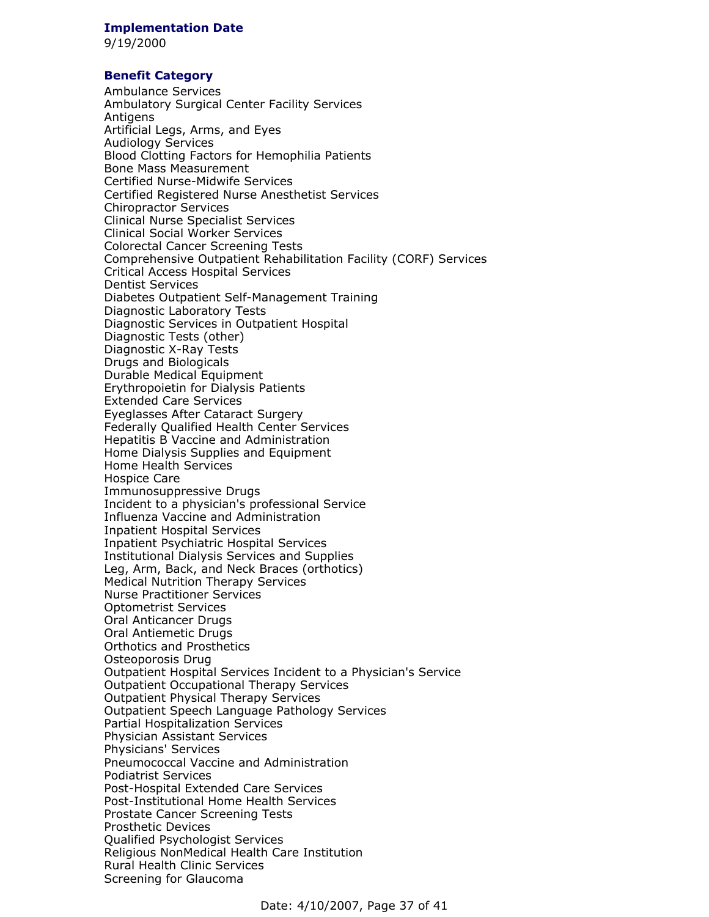### **Implementation Date**

9/19/2000

## **Benefit Category**

Ambulance Services Ambulatory Surgical Center Facility Services Antigens Artificial Legs, Arms, and Eyes Audiology Services Blood Clotting Factors for Hemophilia Patients Bone Mass Measurement Certified Nurse-Midwife Services Certified Registered Nurse Anesthetist Services Chiropractor Services Clinical Nurse Specialist Services Clinical Social Worker Services Colorectal Cancer Screening Tests Comprehensive Outpatient Rehabilitation Facility (CORF) Services Critical Access Hospital Services Dentist Services Diabetes Outpatient Self-Management Training Diagnostic Laboratory Tests Diagnostic Services in Outpatient Hospital Diagnostic Tests (other) Diagnostic X-Ray Tests Drugs and Biologicals Durable Medical Equipment Erythropoietin for Dialysis Patients Extended Care Services Eyeglasses After Cataract Surgery Federally Qualified Health Center Services Hepatitis B Vaccine and Administration Home Dialysis Supplies and Equipment Home Health Services Hospice Care Immunosuppressive Drugs Incident to a physician's professional Service Influenza Vaccine and Administration Inpatient Hospital Services Inpatient Psychiatric Hospital Services Institutional Dialysis Services and Supplies Leg, Arm, Back, and Neck Braces (orthotics) Medical Nutrition Therapy Services Nurse Practitioner Services Optometrist Services Oral Anticancer Drugs Oral Antiemetic Drugs Orthotics and Prosthetics Osteoporosis Drug Outpatient Hospital Services Incident to a Physician's Service Outpatient Occupational Therapy Services Outpatient Physical Therapy Services Outpatient Speech Language Pathology Services Partial Hospitalization Services Physician Assistant Services Physicians' Services Pneumococcal Vaccine and Administration Podiatrist Services Post-Hospital Extended Care Services Post-Institutional Home Health Services Prostate Cancer Screening Tests Prosthetic Devices Qualified Psychologist Services Religious NonMedical Health Care Institution Rural Health Clinic Services Screening for Glaucoma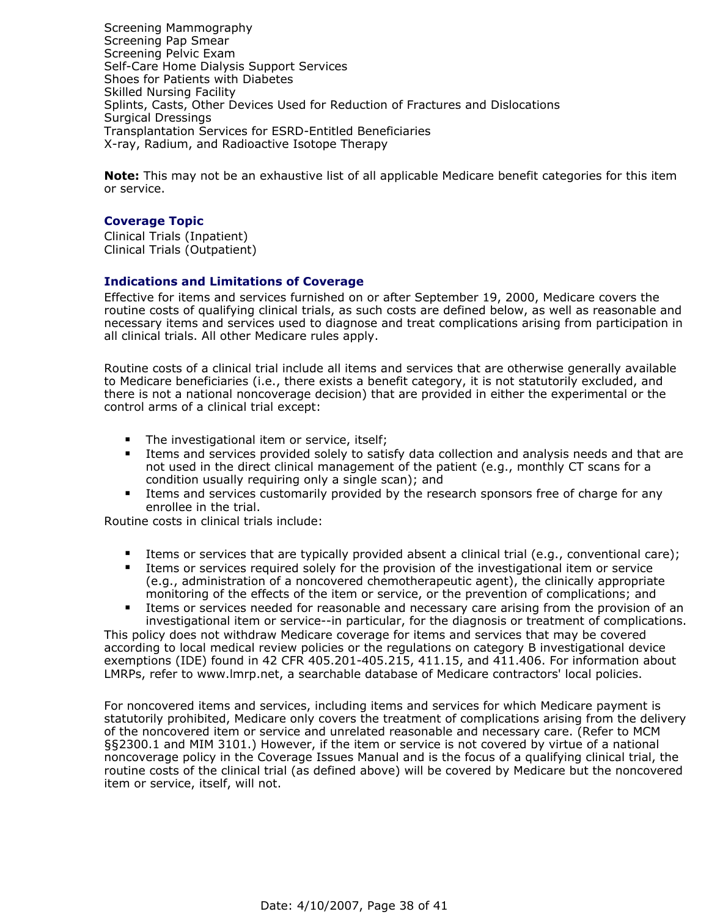Screening Mammography Screening Pap Smear Screening Pelvic Exam Self-Care Home Dialysis Support Services Shoes for Patients with Diabetes Skilled Nursing Facility Splints, Casts, Other Devices Used for Reduction of Fractures and Dislocations Surgical Dressings Transplantation Services for ESRD-Entitled Beneficiaries X-ray, Radium, and Radioactive Isotope Therapy

**Note:** This may not be an exhaustive list of all applicable Medicare benefit categories for this item or service.

### **Coverage Topic**

Clinical Trials (Inpatient) Clinical Trials (Outpatient)

### **Indications and Limitations of Coverage**

Effective for items and services furnished on or after September 19, 2000, Medicare covers the routine costs of qualifying clinical trials, as such costs are defined below, as well as reasonable and necessary items and services used to diagnose and treat complications arising from participation in all clinical trials. All other Medicare rules apply.

Routine costs of a clinical trial include all items and services that are otherwise generally available to Medicare beneficiaries (i.e., there exists a benefit category, it is not statutorily excluded, and there is not a national noncoverage decision) that are provided in either the experimental or the control arms of a clinical trial except:

- The investigational item or service, itself;
- Items and services provided solely to satisfy data collection and analysis needs and that are not used in the direct clinical management of the patient (e.g., monthly CT scans for a condition usually requiring only a single scan); and
- **EXECT** Items and services customarily provided by the research sponsors free of charge for any enrollee in the trial.

Routine costs in clinical trials include:

- Items or services that are typically provided absent a clinical trial (e.g., conventional care);
- **EXECT** Items or services required solely for the provision of the investigational item or service (e.g., administration of a noncovered chemotherapeutic agent), the clinically appropriate monitoring of the effects of the item or service, or the prevention of complications; and
- **EXT** Items or services needed for reasonable and necessary care arising from the provision of an investigational item or service--in particular, for the diagnosis or treatment of complications.

This policy does not withdraw Medicare coverage for items and services that may be covered according to local medical review policies or the regulations on category B investigational device exemptions (IDE) found in 42 CFR 405.201-405.215, 411.15, and 411.406. For information about LMRPs, refer to www.lmrp.net, a searchable database of Medicare contractors' local policies.

For noncovered items and services, including items and services for which Medicare payment is statutorily prohibited, Medicare only covers the treatment of complications arising from the delivery of the noncovered item or service and unrelated reasonable and necessary care. (Refer to MCM §§2300.1 and MIM 3101.) However, if the item or service is not covered by virtue of a national noncoverage policy in the Coverage Issues Manual and is the focus of a qualifying clinical trial, the routine costs of the clinical trial (as defined above) will be covered by Medicare but the noncovered item or service, itself, will not.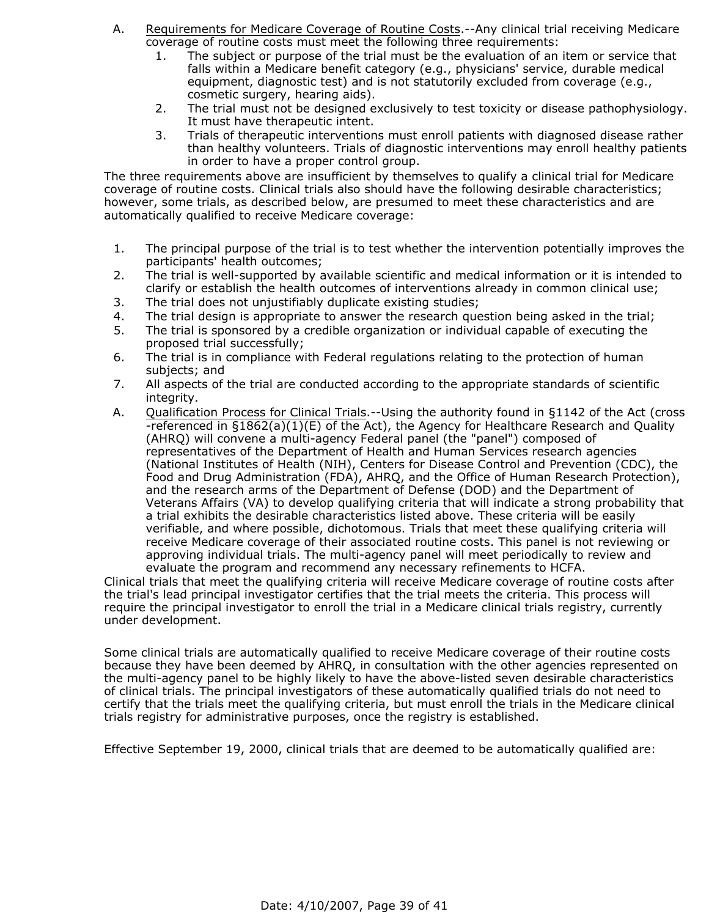- A. Requirements for Medicare Coverage of Routine Costs.--Any clinical trial receiving Medicare coverage of routine costs must meet the following three requirements:
	- 1. The subject or purpose of the trial must be the evaluation of an item or service that falls within a Medicare benefit category (e.g., physicians' service, durable medical equipment, diagnostic test) and is not statutorily excluded from coverage (e.g., cosmetic surgery, hearing aids).
	- 2. The trial must not be designed exclusively to test toxicity or disease pathophysiology. It must have therapeutic intent.
	- 3. Trials of therapeutic interventions must enroll patients with diagnosed disease rather than healthy volunteers. Trials of diagnostic interventions may enroll healthy patients in order to have a proper control group.

The three requirements above are insufficient by themselves to qualify a clinical trial for Medicare coverage of routine costs. Clinical trials also should have the following desirable characteristics; however, some trials, as described below, are presumed to meet these characteristics and are automatically qualified to receive Medicare coverage:

- 1. The principal purpose of the trial is to test whether the intervention potentially improves the participants' health outcomes;
- 2. The trial is well-supported by available scientific and medical information or it is intended to clarify or establish the health outcomes of interventions already in common clinical use;
- 3. The trial does not unjustifiably duplicate existing studies;
- 4. The trial design is appropriate to answer the research question being asked in the trial;
- 5. The trial is sponsored by a credible organization or individual capable of executing the proposed trial successfully;
- 6. The trial is in compliance with Federal regulations relating to the protection of human subjects; and
- 7. All aspects of the trial are conducted according to the appropriate standards of scientific integrity.
- A. Qualification Process for Clinical Trials.--Using the authority found in §1142 of the Act (cross -referenced in  $§1862(a)(1)(E)$  of the Act), the Agency for Healthcare Research and Quality (AHRQ) will convene a multi-agency Federal panel (the "panel") composed of representatives of the Department of Health and Human Services research agencies (National Institutes of Health (NIH), Centers for Disease Control and Prevention (CDC), the Food and Drug Administration (FDA), AHRQ, and the Office of Human Research Protection), and the research arms of the Department of Defense (DOD) and the Department of Veterans Affairs (VA) to develop qualifying criteria that will indicate a strong probability that a trial exhibits the desirable characteristics listed above. These criteria will be easily verifiable, and where possible, dichotomous. Trials that meet these qualifying criteria will receive Medicare coverage of their associated routine costs. This panel is not reviewing or approving individual trials. The multi-agency panel will meet periodically to review and evaluate the program and recommend any necessary refinements to HCFA.

Clinical trials that meet the qualifying criteria will receive Medicare coverage of routine costs after the trial's lead principal investigator certifies that the trial meets the criteria. This process will require the principal investigator to enroll the trial in a Medicare clinical trials registry, currently under development.

Some clinical trials are automatically qualified to receive Medicare coverage of their routine costs because they have been deemed by AHRQ, in consultation with the other agencies represented on the multi-agency panel to be highly likely to have the above-listed seven desirable characteristics of clinical trials. The principal investigators of these automatically qualified trials do not need to certify that the trials meet the qualifying criteria, but must enroll the trials in the Medicare clinical trials registry for administrative purposes, once the registry is established.

Effective September 19, 2000, clinical trials that are deemed to be automatically qualified are: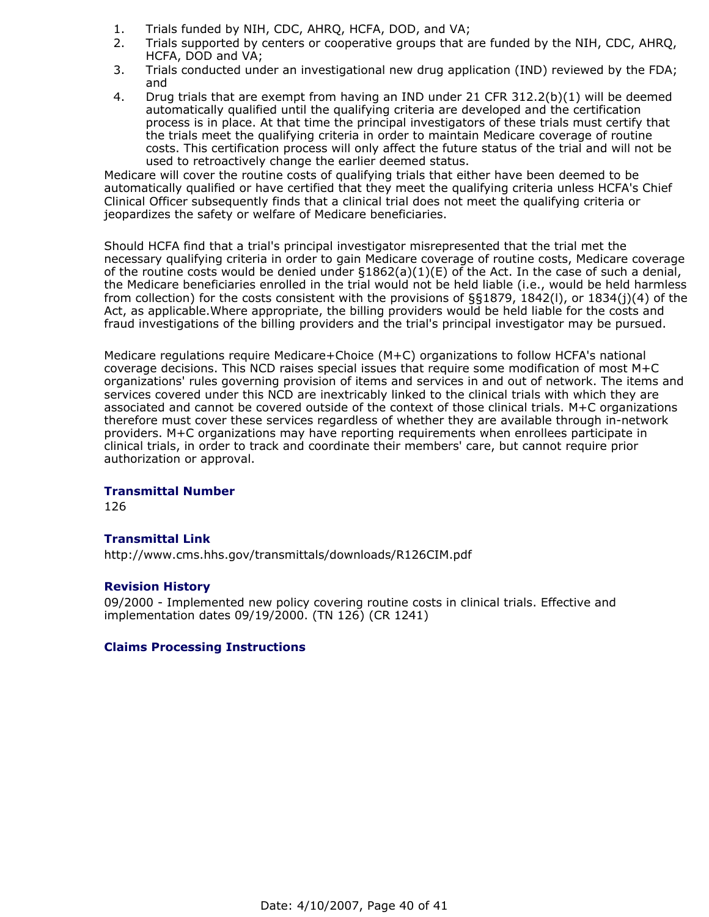- 1. Trials funded by NIH, CDC, AHRQ, HCFA, DOD, and VA;
- 2. Trials supported by centers or cooperative groups that are funded by the NIH, CDC, AHRQ, HCFA, DOD and VA;
- 3. Trials conducted under an investigational new drug application (IND) reviewed by the FDA; and
- 4. Drug trials that are exempt from having an IND under 21 CFR 312.2(b)(1) will be deemed automatically qualified until the qualifying criteria are developed and the certification process is in place. At that time the principal investigators of these trials must certify that the trials meet the qualifying criteria in order to maintain Medicare coverage of routine costs. This certification process will only affect the future status of the trial and will not be used to retroactively change the earlier deemed status.

Medicare will cover the routine costs of qualifying trials that either have been deemed to be automatically qualified or have certified that they meet the qualifying criteria unless HCFA's Chief Clinical Officer subsequently finds that a clinical trial does not meet the qualifying criteria or jeopardizes the safety or welfare of Medicare beneficiaries.

Should HCFA find that a trial's principal investigator misrepresented that the trial met the necessary qualifying criteria in order to gain Medicare coverage of routine costs, Medicare coverage of the routine costs would be denied under  $\S1862(a)(1)(E)$  of the Act. In the case of such a denial, the Medicare beneficiaries enrolled in the trial would not be held liable (i.e., would be held harmless from collection) for the costs consistent with the provisions of  $\S$ §1879, 1842(l), or 1834(j)(4) of the Act, as applicable.Where appropriate, the billing providers would be held liable for the costs and fraud investigations of the billing providers and the trial's principal investigator may be pursued.

Medicare regulations require Medicare+Choice (M+C) organizations to follow HCFA's national coverage decisions. This NCD raises special issues that require some modification of most M+C organizations' rules governing provision of items and services in and out of network. The items and services covered under this NCD are inextricably linked to the clinical trials with which they are associated and cannot be covered outside of the context of those clinical trials. M+C organizations therefore must cover these services regardless of whether they are available through in-network providers. M+C organizations may have reporting requirements when enrollees participate in clinical trials, in order to track and coordinate their members' care, but cannot require prior authorization or approval.

### **Transmittal Number**

126

# **Transmittal Link**

http://www.cms.hhs.gov/transmittals/downloads/R126CIM.pdf

### **Revision History**

09/2000 - Implemented new policy covering routine costs in clinical trials. Effective and implementation dates 09/19/2000. (TN 126) (CR 1241)

### **Claims Processing Instructions**